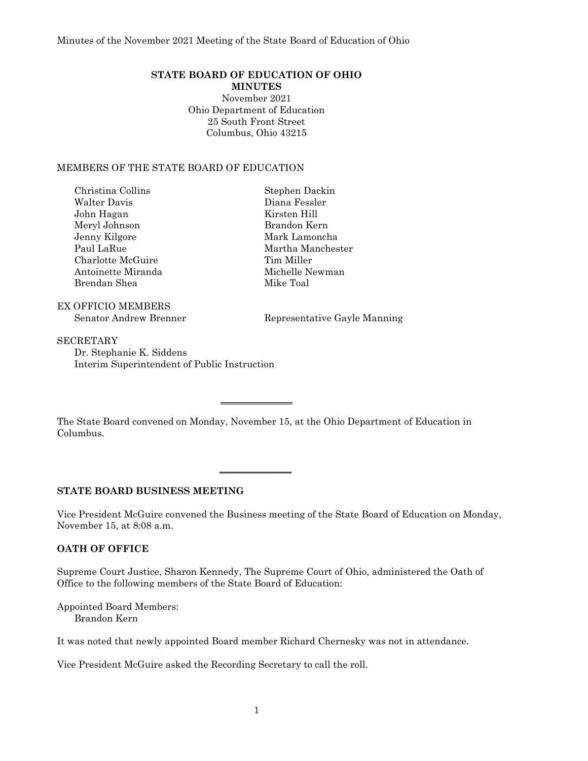# **STATE BOARD OF EDUCATION OF OHIO**

**MINUTES** November 2021 Ohio Department of Education 25 South Front Street Columbus, Ohio 43215

#### MEMBERS OF THE STATE BOARD OF EDUCATION

| Christina Collins  | Stephen Dackin    |
|--------------------|-------------------|
| Walter Davis       | Diana Fessler     |
| John Hagan         | Kirsten Hill      |
| Meryl Johnson      | Brandon Kern      |
| Jenny Kilgore      | Mark Lamoncha     |
| Paul LaRue         | Martha Manchester |
| Charlotte McGuire  | Tim Miller        |
| Antoinette Miranda | Michelle Newman   |
| Brendan Shea       | Mike Toal         |
|                    |                   |

EX OFFICIO MEMBERS

Senator Andrew Brenner Representative Gayle Manning

**SECRETARY** Dr. Stephanie K. Siddens Interim Superintendent of Public Instruction

The State Board convened on Monday, November 15, at the Ohio Department of Education in Columbus.

 $\overline{\phantom{a}}$  , where  $\overline{\phantom{a}}$ 

 $\overline{\phantom{a}}$  , where  $\overline{\phantom{a}}$ 

## **STATE BOARD BUSINESS MEETING**

Vice President McGuire convened the Business meeting of the State Board of Education on Monday, November 15, at 8:08 a.m.

#### **OATH OF OFFICE**

Supreme Court Justice, Sharon Kennedy, The Supreme Court of Ohio, administered the Oath of Office to the following members of the State Board of Education:

Appointed Board Members: Brandon Kern

It was noted that newly appointed Board member Richard Chernesky was not in attendance.

Vice President McGuire asked the Recording Secretary to call the roll.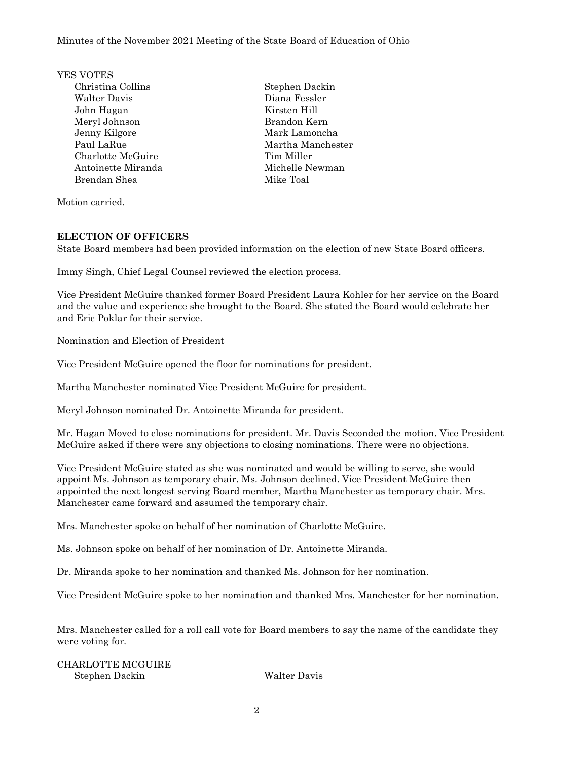| YES VOTES          |                   |
|--------------------|-------------------|
| Christina Collins  | Stephen Dackin    |
| Walter Davis       | Diana Fessler     |
| John Hagan         | Kirsten Hill      |
| Meryl Johnson      | Brandon Kern      |
| Jenny Kilgore      | Mark Lamoncha     |
| Paul LaRue         | Martha Manchester |
| Charlotte McGuire  | Tim Miller        |
| Antoinette Miranda | Michelle Newman   |
| Brendan Shea       | Mike Toal         |
|                    |                   |

Motion carried.

#### **ELECTION OF OFFICERS**

State Board members had been provided information on the election of new State Board officers.

Immy Singh, Chief Legal Counsel reviewed the election process.

Vice President McGuire thanked former Board President Laura Kohler for her service on the Board and the value and experience she brought to the Board. She stated the Board would celebrate her and Eric Poklar for their service.

#### Nomination and Election of President

Vice President McGuire opened the floor for nominations for president.

Martha Manchester nominated Vice President McGuire for president.

Meryl Johnson nominated Dr. Antoinette Miranda for president.

Mr. Hagan Moved to close nominations for president. Mr. Davis Seconded the motion. Vice President McGuire asked if there were any objections to closing nominations. There were no objections.

Vice President McGuire stated as she was nominated and would be willing to serve, she would appoint Ms. Johnson as temporary chair. Ms. Johnson declined. Vice President McGuire then appointed the next longest serving Board member, Martha Manchester as temporary chair. Mrs. Manchester came forward and assumed the temporary chair.

Mrs. Manchester spoke on behalf of her nomination of Charlotte McGuire.

Ms. Johnson spoke on behalf of her nomination of Dr. Antoinette Miranda.

Dr. Miranda spoke to her nomination and thanked Ms. Johnson for her nomination.

Vice President McGuire spoke to her nomination and thanked Mrs. Manchester for her nomination.

Mrs. Manchester called for a roll call vote for Board members to say the name of the candidate they were voting for.

CHARLOTTE MCGUIRE Stephen Dackin Walter Davis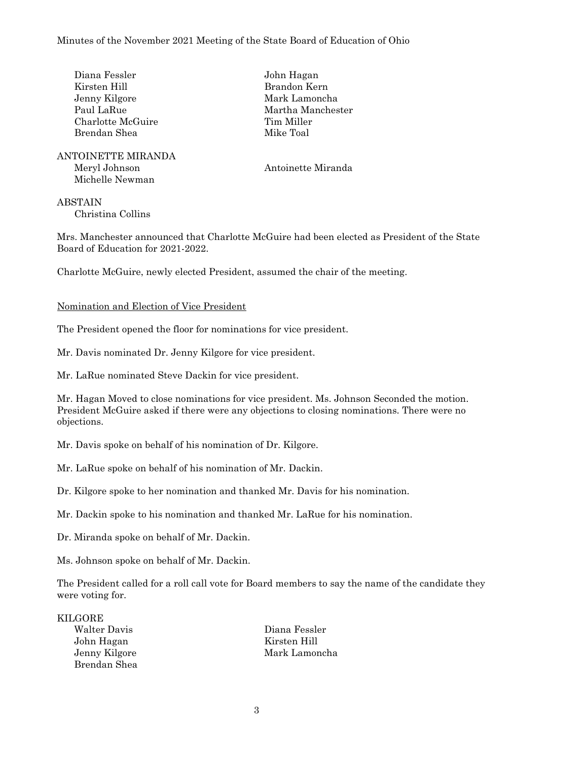| John Hagan         |
|--------------------|
| Brandon Kern       |
| Mark Lamoncha      |
| Martha Manchester  |
| Tim Miller         |
| Mike Toal          |
| Antoinette Miranda |
|                    |
|                    |

Mrs. Manchester announced that Charlotte McGuire had been elected as President of the State Board of Education for 2021-2022.

Charlotte McGuire, newly elected President, assumed the chair of the meeting.

#### Nomination and Election of Vice President

The President opened the floor for nominations for vice president.

Mr. Davis nominated Dr. Jenny Kilgore for vice president.

Mr. LaRue nominated Steve Dackin for vice president.

Mr. Hagan Moved to close nominations for vice president. Ms. Johnson Seconded the motion. President McGuire asked if there were any objections to closing nominations. There were no objections.

Mr. Davis spoke on behalf of his nomination of Dr. Kilgore.

Mr. LaRue spoke on behalf of his nomination of Mr. Dackin.

Dr. Kilgore spoke to her nomination and thanked Mr. Davis for his nomination.

Mr. Dackin spoke to his nomination and thanked Mr. LaRue for his nomination.

Dr. Miranda spoke on behalf of Mr. Dackin.

Ms. Johnson spoke on behalf of Mr. Dackin.

The President called for a roll call vote for Board members to say the name of the candidate they were voting for.

KILGORE

John Hagan Kirsten Hill Brendan Shea

Walter Davis Diana Fessler Jenny Kilgore Mark Lamoncha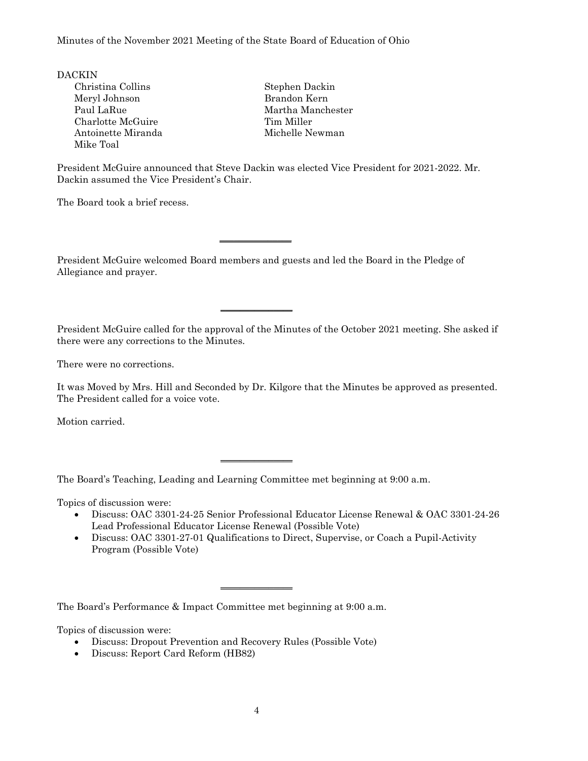DACKIN Christina Collins Stephen Dackin Meryl Johnson Brandon Kern Paul LaRue Martha Manchester Charlotte McGuire Tim Miller Antoinette Miranda Michelle Newman Mike Toal

President McGuire announced that Steve Dackin was elected Vice President for 2021-2022. Mr. Dackin assumed the Vice President's Chair.

The Board took a brief recess.

President McGuire welcomed Board members and guests and led the Board in the Pledge of Allegiance and prayer.

\_\_\_\_\_\_\_\_\_\_\_\_\_\_\_

 $\overline{\phantom{a}}$  , where  $\overline{\phantom{a}}$ 

President McGuire called for the approval of the Minutes of the October 2021 meeting. She asked if there were any corrections to the Minutes.

There were no corrections.

It was Moved by Mrs. Hill and Seconded by Dr. Kilgore that the Minutes be approved as presented. The President called for a voice vote.

Motion carried.

The Board's Teaching, Leading and Learning Committee met beginning at 9:00 a.m.

 $\overline{\phantom{a}}$  , where  $\overline{\phantom{a}}$ 

 $\overline{\phantom{a}}$  , where  $\overline{\phantom{a}}$ 

Topics of discussion were:

- Discuss: OAC 3301-24-25 Senior Professional Educator License Renewal & OAC 3301-24-26 Lead Professional Educator License Renewal (Possible Vote)
- Discuss: OAC 3301-27-01 Qualifications to Direct, Supervise, or Coach a Pupil-Activity Program (Possible Vote)

The Board's Performance & Impact Committee met beginning at 9:00 a.m.

Topics of discussion were:

- Discuss: Dropout Prevention and Recovery Rules (Possible Vote)
- Discuss: Report Card Reform (HB82)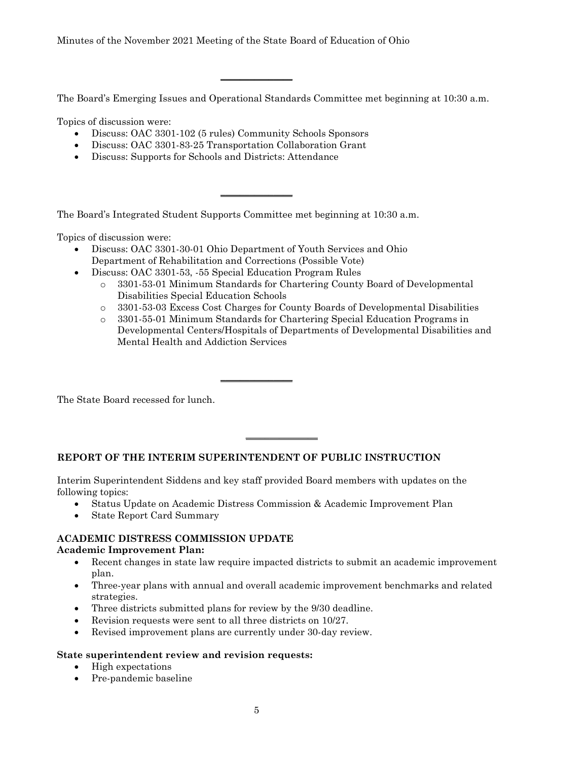The Board's Emerging Issues and Operational Standards Committee met beginning at 10:30 a.m.

\_\_\_\_\_\_\_\_\_\_\_\_\_\_\_

Topics of discussion were:

- Discuss: OAC 3301-102 (5 rules) Community Schools Sponsors
- Discuss: OAC 3301-83-25 Transportation Collaboration Grant
- Discuss: Supports for Schools and Districts: Attendance

The Board's Integrated Student Supports Committee met beginning at 10:30 a.m.

 $\overline{\phantom{a}}$  , where  $\overline{\phantom{a}}$ 

Topics of discussion were:

- Discuss: OAC 3301-30-01 Ohio Department of Youth Services and Ohio Department of Rehabilitation and Corrections (Possible Vote)
- Discuss: OAC 3301-53, -55 Special Education Program Rules
	- o 3301-53-01 Minimum Standards for Chartering County Board of Developmental Disabilities Special Education Schools
	- o 3301-53-03 Excess Cost Charges for County Boards of Developmental Disabilities
	- o 3301-55-01 Minimum Standards for Chartering Special Education Programs in Developmental Centers/Hospitals of Departments of Developmental Disabilities and Mental Health and Addiction Services

The State Board recessed for lunch.

# **REPORT OF THE INTERIM SUPERINTENDENT OF PUBLIC INSTRUCTION**

 $\overline{\phantom{a}}$  , where  $\overline{\phantom{a}}$ 

Interim Superintendent Siddens and key staff provided Board members with updates on the following topics:

 $\overline{\phantom{a}}$  , where  $\overline{\phantom{a}}$ 

- Status Update on Academic Distress Commission & Academic Improvement Plan
- State Report Card Summary

# **ACADEMIC DISTRESS COMMISSION UPDATE**

#### **Academic Improvement Plan:**

- Recent changes in [state law](https://codes.ohio.gov/ohio-revised-code/section-3302.103) require impacted districts to submit an academic improvement plan.
- Three-year plans with annual and overall academic improvement benchmarks and related strategies.
- Three districts submitted plans for review by the 9/30 deadline.
- Revision requests were sent to all three districts on 10/27.
- Revised improvement plans are currently under 30-day review.

## **State superintendent review and revision requests:**

- High expectations
- Pre-pandemic baseline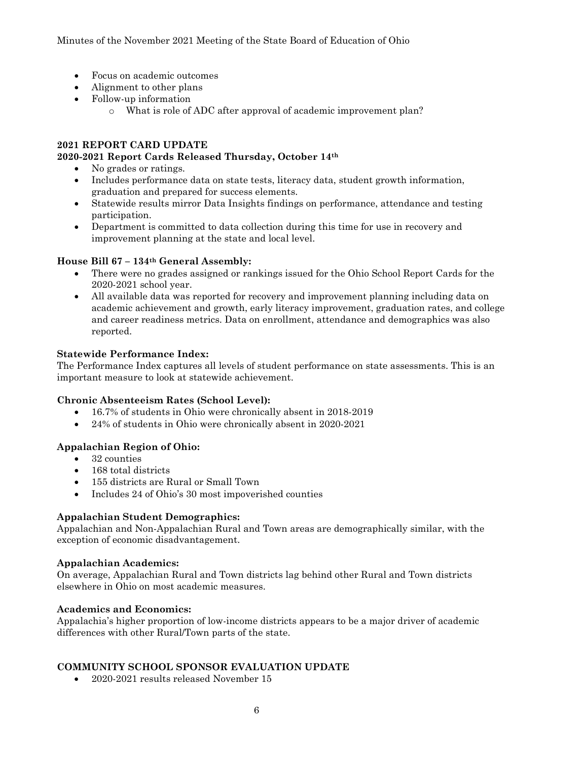- Focus on academic outcomes
- Alignment to other plans
- Follow-up information
	- o What is role of ADC after approval of academic improvement plan?

# **2021 REPORT CARD UPDATE**

# **2020-2021 Report Cards Released Thursday, October 14th**

- No grades or ratings.
- Includes performance data on state tests, literacy data, student growth information, graduation and prepared for success elements.
- Statewide results mirror Data Insights findings on performance, attendance and testing participation.
- Department is committed to data collection during this time for use in recovery and improvement planning at the state and local level.

# **House Bill 67 – 134th General Assembly:**

- There were no grades assigned or rankings issued for the Ohio School Report Cards for the 2020-2021 school year.
- All available data was reported for recovery and improvement planning including data on academic achievement and growth, early literacy improvement, graduation rates, and college and career readiness metrics. Data on enrollment, attendance and demographics was also reported.

# **Statewide Performance Index:**

The Performance Index captures all levels of student performance on state assessments. This is an important measure to look at statewide achievement.

## **Chronic Absenteeism Rates (School Level):**

- 16.7% of students in Ohio were chronically absent in 2018-2019
- 24% of students in Ohio were chronically absent in 2020-2021

# **Appalachian Region of Ohio:**

- 32 counties
- 168 total districts
- 155 districts are Rural or Small Town
- Includes 24 of Ohio's 30 most impoverished counties

## **Appalachian Student Demographics:**

Appalachian and Non-Appalachian Rural and Town areas are demographically similar, with the exception of economic disadvantagement.

## **Appalachian Academics:**

On average, Appalachian Rural and Town districts lag behind other Rural and Town districts elsewhere in Ohio on most academic measures.

## **Academics and Economics:**

Appalachia's higher proportion of low-income districts appears to be a major driver of academic differences with other Rural/Town parts of the state.

# **COMMUNITY SCHOOL SPONSOR EVALUATION UPDATE**

• 2020-2021 results released November 15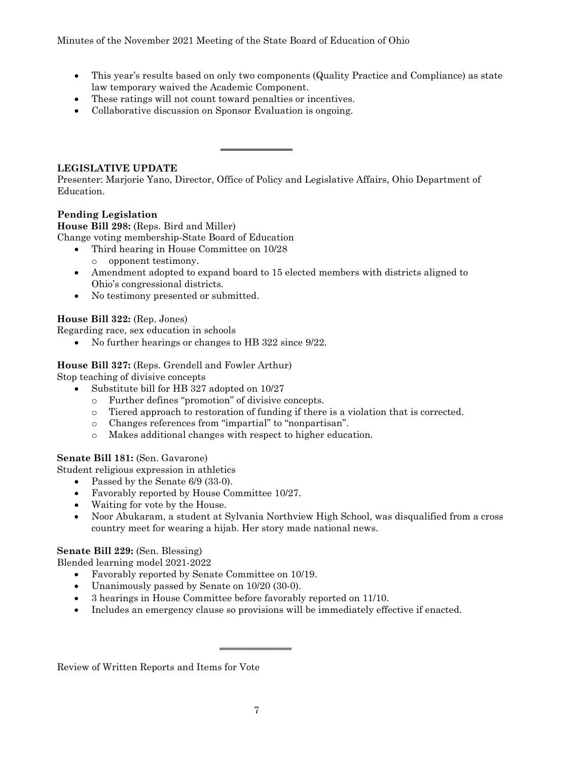- This year's results based on only two components (Quality Practice and Compliance) as state law temporary waived the Academic Component.
- These ratings will not count toward penalties or incentives.
- Collaborative discussion on Sponsor Evaluation is ongoing.

# **LEGISLATIVE UPDATE**

Presenter: Marjorie Yano, Director, Office of Policy and Legislative Affairs, Ohio Department of Education.

 $\overline{\phantom{a}}$  , where  $\overline{\phantom{a}}$ 

# **Pending Legislation**

**House Bill 298:** (Reps. Bird and Miller) Change voting membership-State Board of Education

- Third hearing in House Committee on  $10/28$ o opponent testimony.
- Amendment adopted to expand board to 15 elected members with districts aligned to Ohio's congressional districts.
- No testimony presented or submitted.

# **House Bill 322:** (Rep. Jones)

Regarding race, sex education in schools

• No further hearings or changes to HB 322 since 9/22.

# **House Bill 327:** (Reps. Grendell and Fowler Arthur)

Stop teaching of divisive concepts

- Substitute bill for HB 327 adopted on 10/27
	- o Further defines "promotion" of divisive concepts.
	- o Tiered approach to restoration of funding if there is a violation that is corrected.
	- o Changes references from "impartial" to "nonpartisan".
	- o Makes additional changes with respect to higher education.

## **Senate Bill 181:** (Sen. Gavarone)

Student religious expression in athletics

- Passed by the Senate 6/9 (33-0).
- Favorably reported by House Committee 10/27.
- Waiting for vote by the House.
- Noor Abukaram, a student at Sylvania Northview High School, was disqualified from a cross country meet for wearing a hijab. Her story made national news.

## **Senate Bill 229:** (Sen. Blessing)

Blended learning model 2021-2022

- Favorably reported by Senate Committee on 10/19.
- Unanimously passed by Senate on 10/20 (30-0).
- 3 hearings in House Committee before favorably reported on 11/10.
- Includes an emergency clause so provisions will be immediately effective if enacted.

Review of Written Reports and Items for Vote

 $\overline{\phantom{a}}$  , where  $\overline{\phantom{a}}$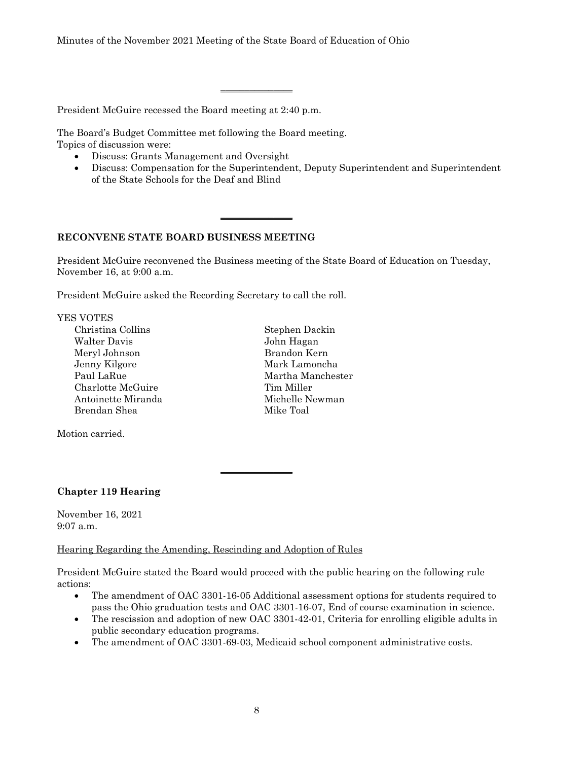\_\_\_\_\_\_\_\_\_\_\_\_\_\_\_

 $\overline{\phantom{a}}$  , where  $\overline{\phantom{a}}$ 

President McGuire recessed the Board meeting at 2:40 p.m.

The Board's Budget Committee met following the Board meeting. Topics of discussion were:

- Discuss: Grants Management and Oversight
- Discuss: Compensation for the Superintendent, Deputy Superintendent and Superintendent of the State Schools for the Deaf and Blind

#### **RECONVENE STATE BOARD BUSINESS MEETING**

President McGuire reconvened the Business meeting of the State Board of Education on Tuesday, November 16, at 9:00 a.m.

President McGuire asked the Recording Secretary to call the roll.

#### YES VOTES

Christina Collins Stephen Dackin Walter Davis **Value 19** John Hagan Meryl Johnson Brandon Kern Jenny Kilgore Mark Lamoncha Charlotte McGuire Tim Miller Antoinette Miranda<br>
Michelle Newman Brendan Shea Mike Toal

Motion carried.

Paul LaRue Martha Manchester

#### **Chapter 119 Hearing**

November 16, 2021 9:07 a.m.

#### Hearing Regarding the Amending, Rescinding and Adoption of Rules

President McGuire stated the Board would proceed with the public hearing on the following rule actions:

 $\overline{\phantom{a}}$  , where  $\overline{\phantom{a}}$ 

- The amendment of OAC 3301-16-05 Additional assessment options for students required to pass the Ohio graduation tests and OAC 3301-16-07, End of course examination in science.
- The rescission and adoption of new OAC 3301-42-01, Criteria for enrolling eligible adults in public secondary education programs.
- The amendment of OAC 3301-69-03, Medicaid school component administrative costs.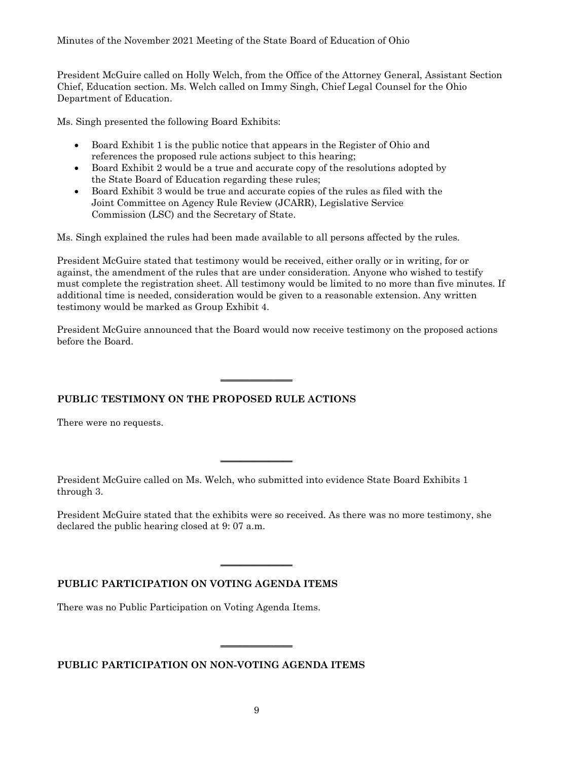President McGuire called on Holly Welch, from the Office of the Attorney General, Assistant Section Chief, Education section. Ms. Welch called on Immy Singh, Chief Legal Counsel for the Ohio Department of Education.

Ms. Singh presented the following Board Exhibits:

- Board Exhibit 1 is the public notice that appears in the Register of Ohio and references the proposed rule actions subject to this hearing;
- Board Exhibit 2 would be a true and accurate copy of the resolutions adopted by the State Board of Education regarding these rules;
- Board Exhibit 3 would be true and accurate copies of the rules as filed with the Joint Committee on Agency Rule Review (JCARR), Legislative Service Commission (LSC) and the Secretary of State.

Ms. Singh explained the rules had been made available to all persons affected by the rules.

President McGuire stated that testimony would be received, either orally or in writing, for or against, the amendment of the rules that are under consideration. Anyone who wished to testify must complete the registration sheet. All testimony would be limited to no more than five minutes. If additional time is needed, consideration would be given to a reasonable extension. Any written testimony would be marked as Group Exhibit 4.

President McGuire announced that the Board would now receive testimony on the proposed actions before the Board.

**PUBLIC TESTIMONY ON THE PROPOSED RULE ACTIONS**

There were no requests.

President McGuire called on Ms. Welch, who submitted into evidence State Board Exhibits 1 through 3.

 $\overline{\phantom{a}}$  , where  $\overline{\phantom{a}}$ 

 $\overline{\phantom{a}}$  , where  $\overline{\phantom{a}}$ 

 $\overline{\phantom{a}}$  , where  $\overline{\phantom{a}}$ 

President McGuire stated that the exhibits were so received. As there was no more testimony, she declared the public hearing closed at 9: 07 a.m.

# **PUBLIC PARTICIPATION ON VOTING AGENDA ITEMS**

There was no Public Participation on Voting Agenda Items.

**PUBLIC PARTICIPATION ON NON-VOTING AGENDA ITEMS**

\_\_\_\_\_\_\_\_\_\_\_\_\_\_\_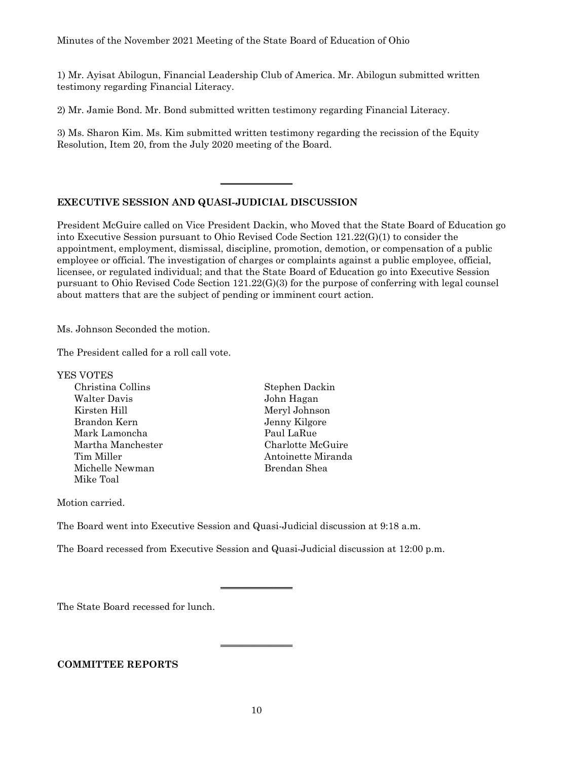1) Mr. Ayisat Abilogun, Financial Leadership Club of America. Mr. Abilogun submitted written testimony regarding Financial Literacy.

2) Mr. Jamie Bond. Mr. Bond submitted written testimony regarding Financial Literacy.

 $\overline{\phantom{a}}$  , where  $\overline{\phantom{a}}$ 

3) Ms. Sharon Kim. Ms. Kim submitted written testimony regarding the recission of the Equity Resolution, Item 20, from the July 2020 meeting of the Board.

## **EXECUTIVE SESSION AND QUASI-JUDICIAL DISCUSSION**

President McGuire called on Vice President Dackin, who Moved that the State Board of Education go into Executive Session pursuant to Ohio Revised Code Section 121.22(G)(1) to consider the appointment, employment, dismissal, discipline, promotion, demotion, or compensation of a public employee or official. The investigation of charges or complaints against a public employee, official, licensee, or regulated individual; and that the State Board of Education go into Executive Session pursuant to Ohio Revised Code Section 121.22(G)(3) for the purpose of conferring with legal counsel about matters that are the subject of pending or imminent court action.

Ms. Johnson Seconded the motion.

The President called for a roll call vote.

| YES VOTES         |                    |
|-------------------|--------------------|
| Christina Collins | Stephen Dackin     |
| Walter Davis      | John Hagan         |
| Kirsten Hill      | Meryl Johnson      |
| Brandon Kern      | Jenny Kilgore      |
| Mark Lamoncha     | Paul LaRue         |
| Martha Manchester | Charlotte McGuire  |
| Tim Miller        | Antoinette Miranda |
| Michelle Newman   | Brendan Shea       |
| Mike Toal         |                    |

Motion carried.

The Board went into Executive Session and Quasi-Judicial discussion at 9:18 a.m.

The Board recessed from Executive Session and Quasi-Judicial discussion at 12:00 p.m.

 $\overline{\phantom{a}}$  , where  $\overline{\phantom{a}}$ 

 $\overline{\phantom{a}}$  , where  $\overline{\phantom{a}}$ 

The State Board recessed for lunch.

#### **COMMITTEE REPORTS**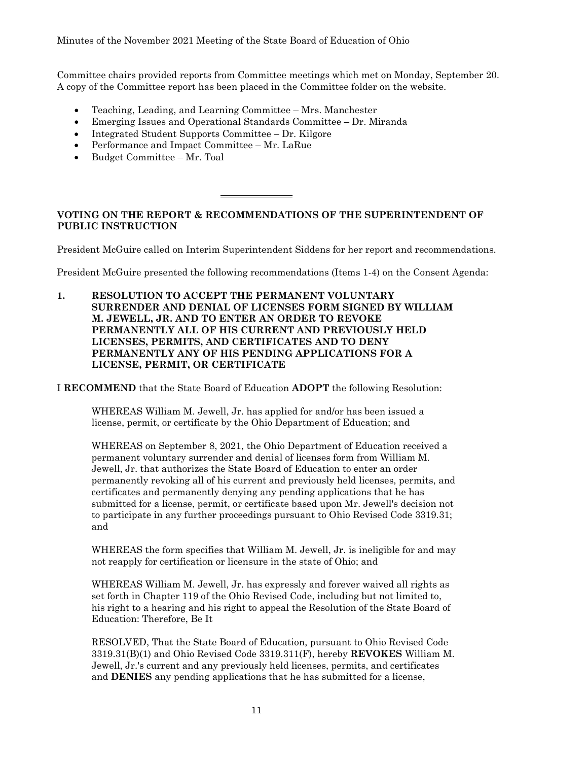Committee chairs provided reports from Committee meetings which met on Monday, September 20. A copy of the Committee report has been placed in the Committee folder on the website.

- Teaching, Leading, and Learning Committee Mrs. Manchester
- Emerging Issues and Operational Standards Committee Dr. Miranda
- Integrated Student Supports Committee Dr. Kilgore
- Performance and Impact Committee Mr. LaRue
- Budget Committee Mr. Toal

### **VOTING ON THE REPORT & RECOMMENDATIONS OF THE SUPERINTENDENT OF PUBLIC INSTRUCTION**

 $\overline{\phantom{a}}$  , where  $\overline{\phantom{a}}$ 

President McGuire called on Interim Superintendent Siddens for her report and recommendations.

President McGuire presented the following recommendations (Items 1-4) on the Consent Agenda:

**1. RESOLUTION TO ACCEPT THE PERMANENT VOLUNTARY SURRENDER AND DENIAL OF LICENSES FORM SIGNED BY WILLIAM M. JEWELL, JR. AND TO ENTER AN ORDER TO REVOKE PERMANENTLY ALL OF HIS CURRENT AND PREVIOUSLY HELD LICENSES, PERMITS, AND CERTIFICATES AND TO DENY PERMANENTLY ANY OF HIS PENDING APPLICATIONS FOR A LICENSE, PERMIT, OR CERTIFICATE**

I **RECOMMEND** that the State Board of Education **ADOPT** the following Resolution:

WHEREAS William M. Jewell, Jr. has applied for and/or has been issued a license, permit, or certificate by the Ohio Department of Education; and

WHEREAS on September 8, 2021, the Ohio Department of Education received a permanent voluntary surrender and denial of licenses form from William M. Jewell, Jr. that authorizes the State Board of Education to enter an order permanently revoking all of his current and previously held licenses, permits, and certificates and permanently denying any pending applications that he has submitted for a license, permit, or certificate based upon Mr. Jewell's decision not to participate in any further proceedings pursuant to Ohio Revised Code 3319.31; and

WHEREAS the form specifies that William M. Jewell, Jr. is ineligible for and may not reapply for certification or licensure in the state of Ohio; and

WHEREAS William M. Jewell, Jr. has expressly and forever waived all rights as set forth in Chapter 119 of the Ohio Revised Code, including but not limited to, his right to a hearing and his right to appeal the Resolution of the State Board of Education: Therefore, Be It

RESOLVED, That the State Board of Education, pursuant to Ohio Revised Code 3319.31(B)(1) and Ohio Revised Code 3319.311(F), hereby **REVOKES** William M. Jewell, Jr.'s current and any previously held licenses, permits, and certificates and **DENIES** any pending applications that he has submitted for a license,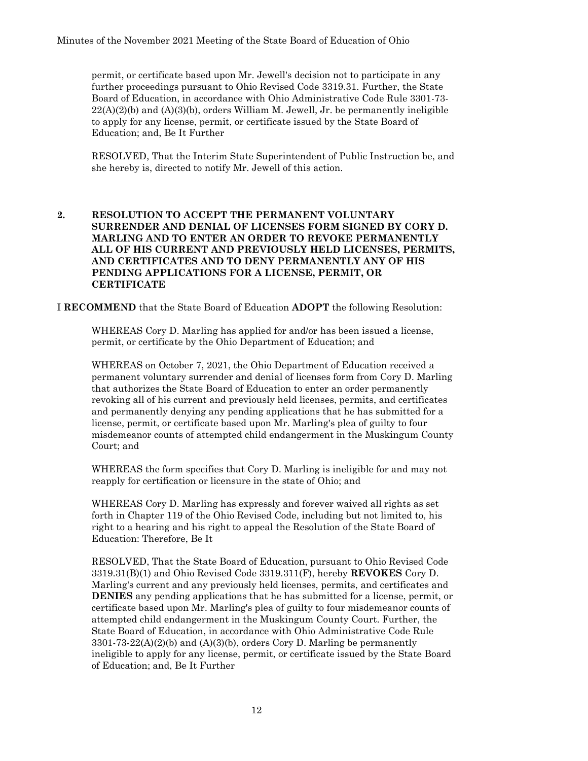permit, or certificate based upon Mr. Jewell's decision not to participate in any further proceedings pursuant to Ohio Revised Code 3319.31. Further, the State Board of Education, in accordance with Ohio Administrative Code Rule 3301-73-  $22(A)(2)(b)$  and  $(A)(3)(b)$ , orders William M. Jewell, Jr. be permanently ineligible to apply for any license, permit, or certificate issued by the State Board of Education; and, Be It Further

RESOLVED, That the Interim State Superintendent of Public Instruction be, and she hereby is, directed to notify Mr. Jewell of this action.

#### **2. RESOLUTION TO ACCEPT THE PERMANENT VOLUNTARY SURRENDER AND DENIAL OF LICENSES FORM SIGNED BY CORY D. MARLING AND TO ENTER AN ORDER TO REVOKE PERMANENTLY ALL OF HIS CURRENT AND PREVIOUSLY HELD LICENSES, PERMITS, AND CERTIFICATES AND TO DENY PERMANENTLY ANY OF HIS PENDING APPLICATIONS FOR A LICENSE, PERMIT, OR CERTIFICATE**

I **RECOMMEND** that the State Board of Education **ADOPT** the following Resolution:

WHEREAS Cory D. Marling has applied for and/or has been issued a license, permit, or certificate by the Ohio Department of Education; and

WHEREAS on October 7, 2021, the Ohio Department of Education received a permanent voluntary surrender and denial of licenses form from Cory D. Marling that authorizes the State Board of Education to enter an order permanently revoking all of his current and previously held licenses, permits, and certificates and permanently denying any pending applications that he has submitted for a license, permit, or certificate based upon Mr. Marling's plea of guilty to four misdemeanor counts of attempted child endangerment in the Muskingum County Court; and

WHEREAS the form specifies that Cory D. Marling is ineligible for and may not reapply for certification or licensure in the state of Ohio; and

WHEREAS Cory D. Marling has expressly and forever waived all rights as set forth in Chapter 119 of the Ohio Revised Code, including but not limited to, his right to a hearing and his right to appeal the Resolution of the State Board of Education: Therefore, Be It

RESOLVED, That the State Board of Education, pursuant to Ohio Revised Code 3319.31(B)(1) and Ohio Revised Code 3319.311(F), hereby **REVOKES** Cory D. Marling's current and any previously held licenses, permits, and certificates and **DENIES** any pending applications that he has submitted for a license, permit, or certificate based upon Mr. Marling's plea of guilty to four misdemeanor counts of attempted child endangerment in the Muskingum County Court. Further, the State Board of Education, in accordance with Ohio Administrative Code Rule  $3301-73-22(A)(2)(b)$  and  $(A)(3)(b)$ , orders Cory D. Marling be permanently ineligible to apply for any license, permit, or certificate issued by the State Board of Education; and, Be It Further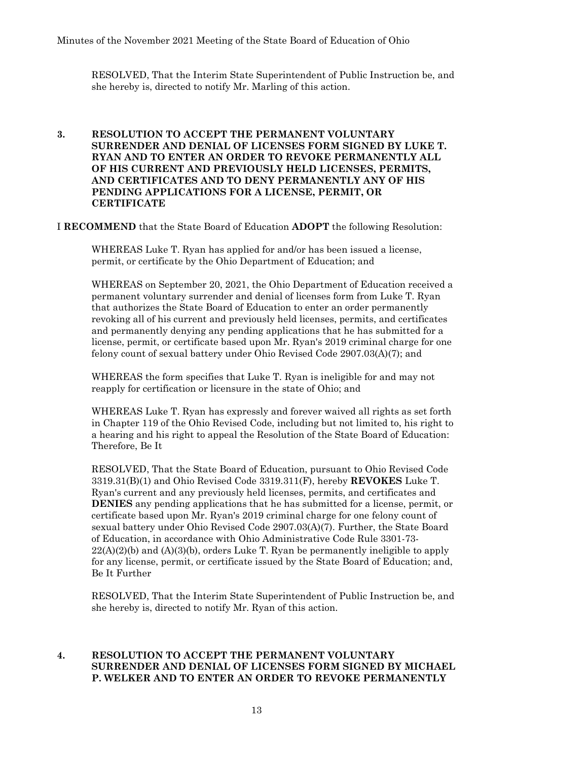RESOLVED, That the Interim State Superintendent of Public Instruction be, and she hereby is, directed to notify Mr. Marling of this action.

## **3. RESOLUTION TO ACCEPT THE PERMANENT VOLUNTARY SURRENDER AND DENIAL OF LICENSES FORM SIGNED BY LUKE T. RYAN AND TO ENTER AN ORDER TO REVOKE PERMANENTLY ALL OF HIS CURRENT AND PREVIOUSLY HELD LICENSES, PERMITS, AND CERTIFICATES AND TO DENY PERMANENTLY ANY OF HIS PENDING APPLICATIONS FOR A LICENSE, PERMIT, OR CERTIFICATE**

I **RECOMMEND** that the State Board of Education **ADOPT** the following Resolution:

WHEREAS Luke T. Ryan has applied for and/or has been issued a license, permit, or certificate by the Ohio Department of Education; and

WHEREAS on September 20, 2021, the Ohio Department of Education received a permanent voluntary surrender and denial of licenses form from Luke T. Ryan that authorizes the State Board of Education to enter an order permanently revoking all of his current and previously held licenses, permits, and certificates and permanently denying any pending applications that he has submitted for a license, permit, or certificate based upon Mr. Ryan's 2019 criminal charge for one felony count of sexual battery under Ohio Revised Code 2907.03(A)(7); and

WHEREAS the form specifies that Luke T. Ryan is ineligible for and may not reapply for certification or licensure in the state of Ohio; and

WHEREAS Luke T. Ryan has expressly and forever waived all rights as set forth in Chapter 119 of the Ohio Revised Code, including but not limited to, his right to a hearing and his right to appeal the Resolution of the State Board of Education: Therefore, Be It

RESOLVED, That the State Board of Education, pursuant to Ohio Revised Code 3319.31(B)(1) and Ohio Revised Code 3319.311(F), hereby **REVOKES** Luke T. Ryan's current and any previously held licenses, permits, and certificates and **DENIES** any pending applications that he has submitted for a license, permit, or certificate based upon Mr. Ryan's 2019 criminal charge for one felony count of sexual battery under Ohio Revised Code 2907.03(A)(7). Further, the State Board of Education, in accordance with Ohio Administrative Code Rule 3301-73-  $22(A)(2)(b)$  and  $(A)(3)(b)$ , orders Luke T. Ryan be permanently ineligible to apply for any license, permit, or certificate issued by the State Board of Education; and, Be It Further

RESOLVED, That the Interim State Superintendent of Public Instruction be, and she hereby is, directed to notify Mr. Ryan of this action.

#### **4. RESOLUTION TO ACCEPT THE PERMANENT VOLUNTARY SURRENDER AND DENIAL OF LICENSES FORM SIGNED BY MICHAEL P. WELKER AND TO ENTER AN ORDER TO REVOKE PERMANENTLY**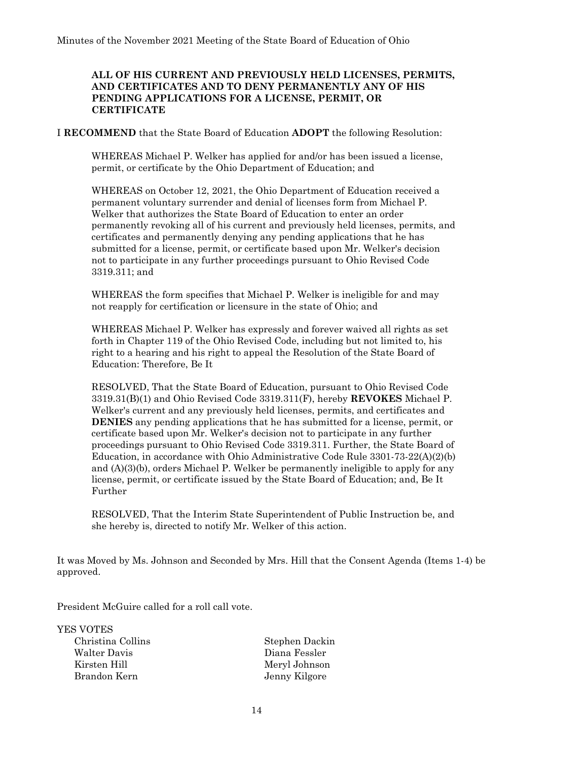#### **ALL OF HIS CURRENT AND PREVIOUSLY HELD LICENSES, PERMITS, AND CERTIFICATES AND TO DENY PERMANENTLY ANY OF HIS PENDING APPLICATIONS FOR A LICENSE, PERMIT, OR CERTIFICATE**

I **RECOMMEND** that the State Board of Education **ADOPT** the following Resolution:

WHEREAS Michael P. Welker has applied for and/or has been issued a license, permit, or certificate by the Ohio Department of Education; and

WHEREAS on October 12, 2021, the Ohio Department of Education received a permanent voluntary surrender and denial of licenses form from Michael P. Welker that authorizes the State Board of Education to enter an order permanently revoking all of his current and previously held licenses, permits, and certificates and permanently denying any pending applications that he has submitted for a license, permit, or certificate based upon Mr. Welker's decision not to participate in any further proceedings pursuant to Ohio Revised Code 3319.311; and

WHEREAS the form specifies that Michael P. Welker is ineligible for and may not reapply for certification or licensure in the state of Ohio; and

WHEREAS Michael P. Welker has expressly and forever waived all rights as set forth in Chapter 119 of the Ohio Revised Code, including but not limited to, his right to a hearing and his right to appeal the Resolution of the State Board of Education: Therefore, Be It

RESOLVED, That the State Board of Education, pursuant to Ohio Revised Code 3319.31(B)(1) and Ohio Revised Code 3319.311(F), hereby **REVOKES** Michael P. Welker's current and any previously held licenses, permits, and certificates and **DENIES** any pending applications that he has submitted for a license, permit, or certificate based upon Mr. Welker's decision not to participate in any further proceedings pursuant to Ohio Revised Code 3319.311. Further, the State Board of Education, in accordance with Ohio Administrative Code Rule 3301-73-22(A)(2)(b) and (A)(3)(b), orders Michael P. Welker be permanently ineligible to apply for any license, permit, or certificate issued by the State Board of Education; and, Be It Further

RESOLVED, That the Interim State Superintendent of Public Instruction be, and she hereby is, directed to notify Mr. Welker of this action.

It was Moved by Ms. Johnson and Seconded by Mrs. Hill that the Consent Agenda (Items 1-4) be approved.

President McGuire called for a roll call vote.

YES VOTES Christina Collins Stephen Dackin Walter Davis Diana Fessler Kirsten Hill Meryl Johnson Brandon Kern Jenny Kilgore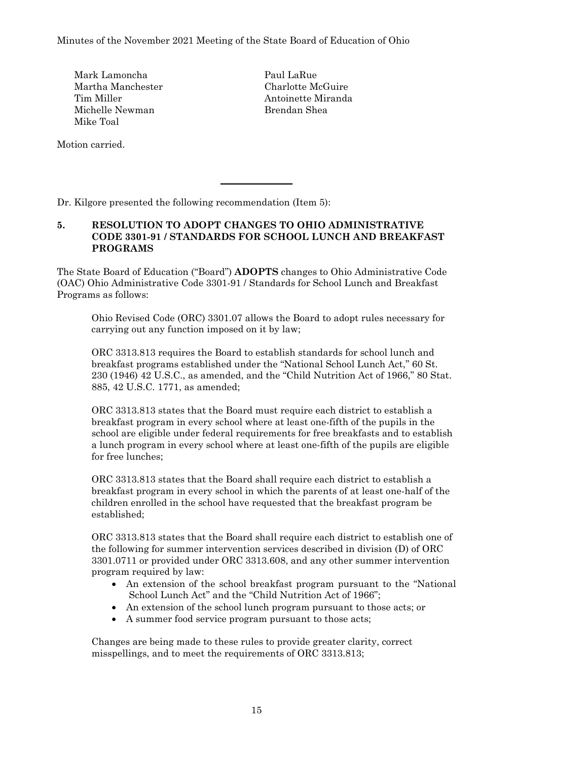Mark Lamoncha Paul LaRue Martha Manchester Charlotte McGuire Tim Miller **Antoinette Miranda** Michelle Newman Brendan Shea Mike Toal

Motion carried.

Dr. Kilgore presented the following recommendation (Item 5):

# **5. RESOLUTION TO ADOPT CHANGES TO OHIO ADMINISTRATIVE CODE 3301-91 / STANDARDS FOR SCHOOL LUNCH AND BREAKFAST PROGRAMS**

 $\overline{\phantom{a}}$  , where  $\overline{\phantom{a}}$ 

The State Board of Education ("Board") **ADOPTS** changes to Ohio Administrative Code (OAC) Ohio Administrative Code 3301-91 / Standards for School Lunch and Breakfast Programs as follows:

Ohio Revised Code (ORC) 3301.07 allows the Board to adopt rules necessary for carrying out any function imposed on it by law;

ORC 3313.813 requires the Board to establish standards for school lunch and breakfast programs established under the "National School Lunch Act," 60 St. 230 (1946) 42 U.S.C., as amended, and the "Child Nutrition Act of 1966," 80 Stat. 885, 42 U.S.C. 1771, as amended;

ORC 3313.813 states that the Board must require each district to establish a breakfast program in every school where at least one-fifth of the pupils in the school are eligible under federal requirements for free breakfasts and to establish a lunch program in every school where at least one-fifth of the pupils are eligible for free lunches;

ORC 3313.813 states that the Board shall require each district to establish a breakfast program in every school in which the parents of at least one-half of the children enrolled in the school have requested that the breakfast program be established;

ORC 3313.813 states that the Board shall require each district to establish one of the following for summer intervention services described in division (D) of ORC 3301.0711 or provided under ORC 3313.608, and any other summer intervention program required by law:

- An extension of the school breakfast program pursuant to the "National School Lunch Act" and the "Child Nutrition Act of 1966";
- An extension of the school lunch program pursuant to those acts; or
- A summer food service program pursuant to those acts;

Changes are being made to these rules to provide greater clarity, correct misspellings, and to meet the requirements of ORC 3313.813;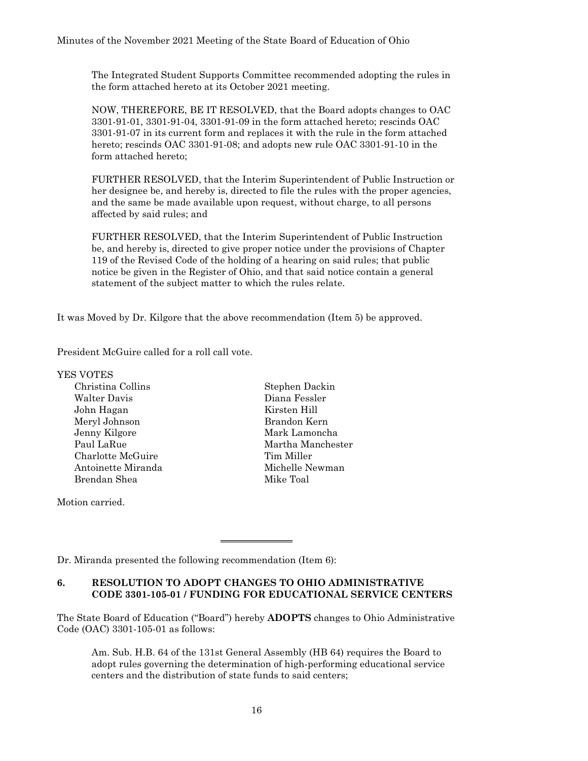The Integrated Student Supports Committee recommended adopting the rules in the form attached hereto at its October 2021 meeting.

NOW, THEREFORE, BE IT RESOLVED, that the Board adopts changes to OAC 3301-91-01, 3301-91-04, 3301-91-09 in the form attached hereto; rescinds OAC 3301-91-07 in its current form and replaces it with the rule in the form attached hereto; rescinds OAC 3301-91-08; and adopts new rule OAC 3301-91-10 in the form attached hereto;

FURTHER RESOLVED, that the Interim Superintendent of Public Instruction or her designee be, and hereby is, directed to file the rules with the proper agencies, and the same be made available upon request, without charge, to all persons affected by said rules; and

FURTHER RESOLVED, that the Interim Superintendent of Public Instruction be, and hereby is, directed to give proper notice under the provisions of Chapter 119 of the Revised Code of the holding of a hearing on said rules; that public notice be given in the Register of Ohio, and that said notice contain a general statement of the subject matter to which the rules relate.

It was Moved by Dr. Kilgore that the above recommendation (Item 5) be approved.

President McGuire called for a roll call vote.

#### YES VOTES

Christina Collins Stephen Dackin Walter Davis Diana Fessler John Hagan Kirsten Hill Meryl Johnson Brandon Kern Jenny Kilgore Mark Lamoncha Charlotte McGuire Tim Miller Antoinette Miranda Michelle Newman Brendan Shea Mike Toal

Paul LaRue Martha Manchester

Motion carried.

Dr. Miranda presented the following recommendation (Item 6):

#### **6. RESOLUTION TO ADOPT CHANGES TO OHIO ADMINISTRATIVE CODE 3301-105-01 / FUNDING FOR EDUCATIONAL SERVICE CENTERS**

 $\overline{\phantom{a}}$  , where  $\overline{\phantom{a}}$ 

The State Board of Education ("Board") hereby **ADOPTS** changes to Ohio Administrative Code (OAC) 3301-105-01 as follows:

Am. Sub. H.B. 64 of the 131st General Assembly (HB 64) requires the Board to adopt rules governing the determination of high-performing educational service centers and the distribution of state funds to said centers;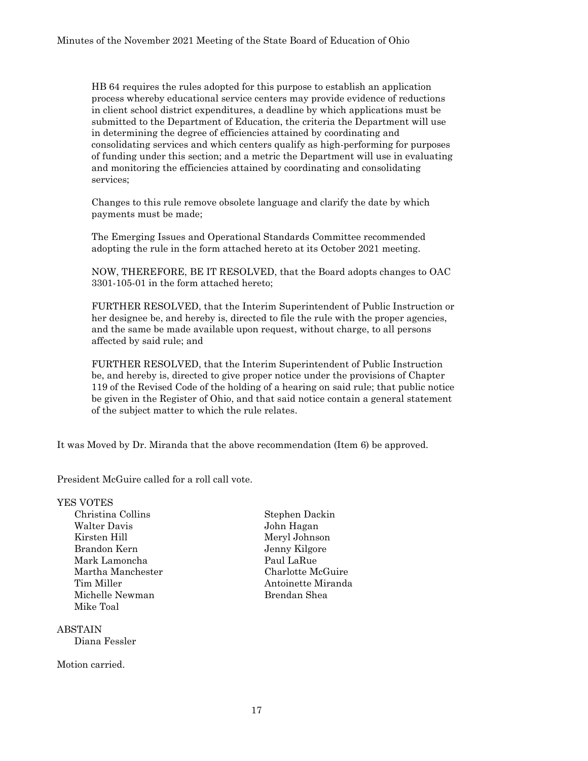HB 64 requires the rules adopted for this purpose to establish an application process whereby educational service centers may provide evidence of reductions in client school district expenditures, a deadline by which applications must be submitted to the Department of Education, the criteria the Department will use in determining the degree of efficiencies attained by coordinating and consolidating services and which centers qualify as high-performing for purposes of funding under this section; and a metric the Department will use in evaluating and monitoring the efficiencies attained by coordinating and consolidating services;

Changes to this rule remove obsolete language and clarify the date by which payments must be made;

The Emerging Issues and Operational Standards Committee recommended adopting the rule in the form attached hereto at its October 2021 meeting.

NOW, THEREFORE, BE IT RESOLVED, that the Board adopts changes to OAC 3301-105-01 in the form attached hereto;

FURTHER RESOLVED, that the Interim Superintendent of Public Instruction or her designee be, and hereby is, directed to file the rule with the proper agencies, and the same be made available upon request, without charge, to all persons affected by said rule; and

FURTHER RESOLVED, that the Interim Superintendent of Public Instruction be, and hereby is, directed to give proper notice under the provisions of Chapter 119 of the Revised Code of the holding of a hearing on said rule; that public notice be given in the Register of Ohio, and that said notice contain a general statement of the subject matter to which the rule relates.

It was Moved by Dr. Miranda that the above recommendation (Item 6) be approved.

President McGuire called for a roll call vote.

## YES VOTES

Christina Collins Stephen Dackin Walter Davis John Hagan Kirsten Hill Meryl Johnson Brandon Kern Jenny Kilgore Mark Lamoncha Paul LaRue Martha Manchester Charlotte McGuire Michelle Newman Brendan Shea Mike Toal

ABSTAIN

Diana Fessler

#### Motion carried.

Tim Miller **Antoinette Miranda**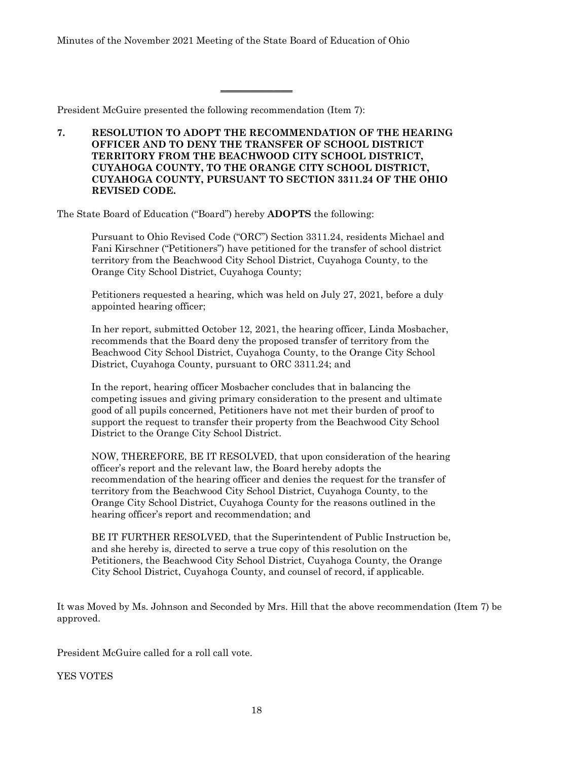President McGuire presented the following recommendation (Item 7):

**7. RESOLUTION TO ADOPT THE RECOMMENDATION OF THE HEARING OFFICER AND TO DENY THE TRANSFER OF SCHOOL DISTRICT TERRITORY FROM THE BEACHWOOD CITY SCHOOL DISTRICT, CUYAHOGA COUNTY, TO THE ORANGE CITY SCHOOL DISTRICT, CUYAHOGA COUNTY, PURSUANT TO SECTION 3311.24 OF THE OHIO REVISED CODE.** 

\_\_\_\_\_\_\_\_\_\_\_\_\_\_\_

The State Board of Education ("Board") hereby **ADOPTS** the following:

Pursuant to Ohio Revised Code ("ORC") Section 3311.24, residents Michael and Fani Kirschner ("Petitioners") have petitioned for the transfer of school district territory from the Beachwood City School District, Cuyahoga County, to the Orange City School District, Cuyahoga County;

Petitioners requested a hearing, which was held on July 27, 2021, before a duly appointed hearing officer;

In her report, submitted October 12, 2021, the hearing officer, Linda Mosbacher, recommends that the Board deny the proposed transfer of territory from the Beachwood City School District, Cuyahoga County, to the Orange City School District, Cuyahoga County, pursuant to ORC 3311.24; and

In the report, hearing officer Mosbacher concludes that in balancing the competing issues and giving primary consideration to the present and ultimate good of all pupils concerned, Petitioners have not met their burden of proof to support the request to transfer their property from the Beachwood City School District to the Orange City School District.

NOW, THEREFORE, BE IT RESOLVED, that upon consideration of the hearing officer's report and the relevant law, the Board hereby adopts the recommendation of the hearing officer and denies the request for the transfer of territory from the Beachwood City School District, Cuyahoga County, to the Orange City School District, Cuyahoga County for the reasons outlined in the hearing officer's report and recommendation; and

BE IT FURTHER RESOLVED, that the Superintendent of Public Instruction be, and she hereby is, directed to serve a true copy of this resolution on the Petitioners, the Beachwood City School District, Cuyahoga County, the Orange City School District, Cuyahoga County, and counsel of record, if applicable.

It was Moved by Ms. Johnson and Seconded by Mrs. Hill that the above recommendation (Item 7) be approved.

President McGuire called for a roll call vote.

YES VOTES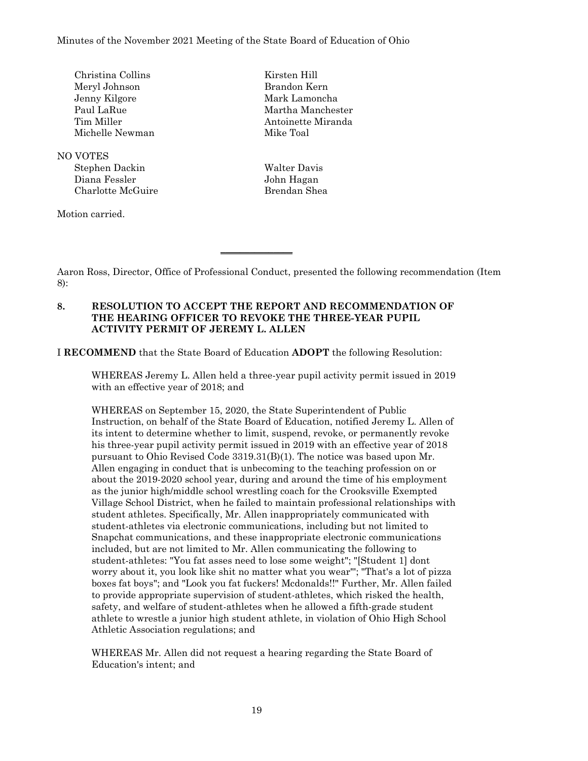| Christina Collins | Kirsten Hill       |
|-------------------|--------------------|
| Meryl Johnson     | Brandon Kern       |
| Jenny Kilgore     | Mark Lamoncha      |
| Paul LaRue        | Martha Manchester  |
| Tim Miller        | Antoinette Miranda |
| Michelle Newman   | Mike Toal          |
| NO VOTES          |                    |
| Stephen Dackin    | Walter Davis       |
| Diana Fessler     | John Hagan         |
| Charlotte McGuire | Brendan Shea       |
| Motion carried    |                    |

Aaron Ross, Director, Office of Professional Conduct, presented the following recommendation (Item 8):

#### **8. RESOLUTION TO ACCEPT THE REPORT AND RECOMMENDATION OF THE HEARING OFFICER TO REVOKE THE THREE-YEAR PUPIL ACTIVITY PERMIT OF JEREMY L. ALLEN**

 $\overline{\phantom{a}}$  , where  $\overline{\phantom{a}}$ 

I **RECOMMEND** that the State Board of Education **ADOPT** the following Resolution:

WHEREAS Jeremy L. Allen held a three-year pupil activity permit issued in 2019 with an effective year of 2018; and

WHEREAS on September 15, 2020, the State Superintendent of Public Instruction, on behalf of the State Board of Education, notified Jeremy L. Allen of its intent to determine whether to limit, suspend, revoke, or permanently revoke his three-year pupil activity permit issued in 2019 with an effective year of 2018 pursuant to Ohio Revised Code 3319.31(B)(1). The notice was based upon Mr. Allen engaging in conduct that is unbecoming to the teaching profession on or about the 2019-2020 school year, during and around the time of his employment as the junior high/middle school wrestling coach for the Crooksville Exempted Village School District, when he failed to maintain professional relationships with student athletes. Specifically, Mr. Allen inappropriately communicated with student-athletes via electronic communications, including but not limited to Snapchat communications, and these inappropriate electronic communications included, but are not limited to Mr. Allen communicating the following to student-athletes: "You fat asses need to lose some weight"; "[Student 1] dont worry about it, you look like shit no matter what you wear"'; "That's a lot of pizza boxes fat boys"; and "Look you fat fuckers! Mcdonalds!!" Further, Mr. Allen failed to provide appropriate supervision of student-athletes, which risked the health, safety, and welfare of student-athletes when he allowed a fifth-grade student athlete to wrestle a junior high student athlete, in violation of Ohio High School Athletic Association regulations; and

WHEREAS Mr. Allen did not request a hearing regarding the State Board of Education's intent; and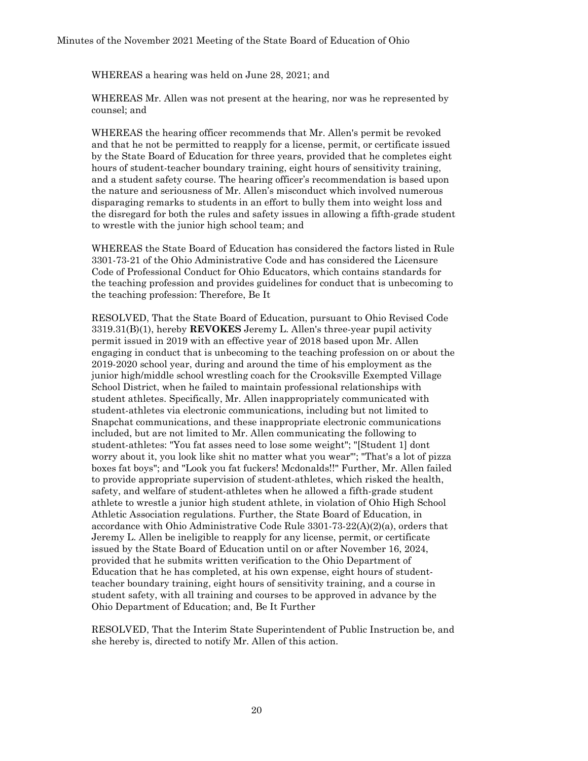WHEREAS a hearing was held on June 28, 2021; and

WHEREAS Mr. Allen was not present at the hearing, nor was he represented by counsel; and

WHEREAS the hearing officer recommends that Mr. Allen's permit be revoked and that he not be permitted to reapply for a license, permit, or certificate issued by the State Board of Education for three years, provided that he completes eight hours of student-teacher boundary training, eight hours of sensitivity training, and a student safety course. The hearing officer's recommendation is based upon the nature and seriousness of Mr. Allen's misconduct which involved numerous disparaging remarks to students in an effort to bully them into weight loss and the disregard for both the rules and safety issues in allowing a fifth-grade student to wrestle with the junior high school team; and

WHEREAS the State Board of Education has considered the factors listed in Rule 3301-73-21 of the Ohio Administrative Code and has considered the Licensure Code of Professional Conduct for Ohio Educators, which contains standards for the teaching profession and provides guidelines for conduct that is unbecoming to the teaching profession: Therefore, Be It

RESOLVED, That the State Board of Education, pursuant to Ohio Revised Code 3319.31(B)(1), hereby **REVOKES** Jeremy L. Allen's three-year pupil activity permit issued in 2019 with an effective year of 2018 based upon Mr. Allen engaging in conduct that is unbecoming to the teaching profession on or about the 2019-2020 school year, during and around the time of his employment as the junior high/middle school wrestling coach for the Crooksville Exempted Village School District, when he failed to maintain professional relationships with student athletes. Specifically, Mr. Allen inappropriately communicated with student-athletes via electronic communications, including but not limited to Snapchat communications, and these inappropriate electronic communications included, but are not limited to Mr. Allen communicating the following to student-athletes: "You fat asses need to lose some weight"; "[Student 1] dont worry about it, you look like shit no matter what you wear"'; "That's a lot of pizza boxes fat boys"; and "Look you fat fuckers! Mcdonalds!!" Further, Mr. Allen failed to provide appropriate supervision of student-athletes, which risked the health, safety, and welfare of student-athletes when he allowed a fifth-grade student athlete to wrestle a junior high student athlete, in violation of Ohio High School Athletic Association regulations. Further, the State Board of Education, in accordance with Ohio Administrative Code Rule 3301-73-22(A)(2)(a), orders that Jeremy L. Allen be ineligible to reapply for any license, permit, or certificate issued by the State Board of Education until on or after November 16, 2024, provided that he submits written verification to the Ohio Department of Education that he has completed, at his own expense, eight hours of studentteacher boundary training, eight hours of sensitivity training, and a course in student safety, with all training and courses to be approved in advance by the Ohio Department of Education; and, Be It Further

RESOLVED, That the Interim State Superintendent of Public Instruction be, and she hereby is, directed to notify Mr. Allen of this action.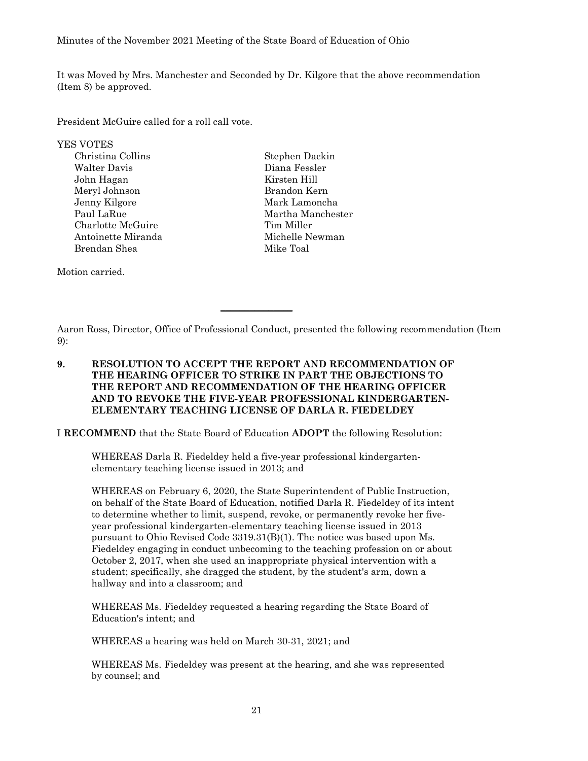It was Moved by Mrs. Manchester and Seconded by Dr. Kilgore that the above recommendation (Item 8) be approved.

President McGuire called for a roll call vote.

YES VOTES Christina Collins Stephen Dackin Walter Davis Diana Fessler John Hagan Kirsten Hill Meryl Johnson Brandon Kern Jenny Kilgore Mark Lamoncha Paul LaRue Martha Manchester Charlotte McGuire Tim Miller Antoinette Miranda Michelle Newman Brendan Shea Mike Toal

Motion carried.

Aaron Ross, Director, Office of Professional Conduct, presented the following recommendation (Item 9):

**9. RESOLUTION TO ACCEPT THE REPORT AND RECOMMENDATION OF THE HEARING OFFICER TO STRIKE IN PART THE OBJECTIONS TO THE REPORT AND RECOMMENDATION OF THE HEARING OFFICER AND TO REVOKE THE FIVE-YEAR PROFESSIONAL KINDERGARTEN-ELEMENTARY TEACHING LICENSE OF DARLA R. FIEDELDEY**

\_\_\_\_\_\_\_\_\_\_\_\_\_\_\_

I **RECOMMEND** that the State Board of Education **ADOPT** the following Resolution:

WHEREAS Darla R. Fiedeldey held a five-year professional kindergartenelementary teaching license issued in 2013; and

WHEREAS on February 6, 2020, the State Superintendent of Public Instruction, on behalf of the State Board of Education, notified Darla R. Fiedeldey of its intent to determine whether to limit, suspend, revoke, or permanently revoke her fiveyear professional kindergarten-elementary teaching license issued in 2013 pursuant to Ohio Revised Code 3319.31(B)(1). The notice was based upon Ms. Fiedeldey engaging in conduct unbecoming to the teaching profession on or about October 2, 2017, when she used an inappropriate physical intervention with a student; specifically, she dragged the student, by the student's arm, down a hallway and into a classroom; and

WHEREAS Ms. Fiedeldey requested a hearing regarding the State Board of Education's intent; and

WHEREAS a hearing was held on March 30-31, 2021; and

WHEREAS Ms. Fiedeldey was present at the hearing, and she was represented by counsel; and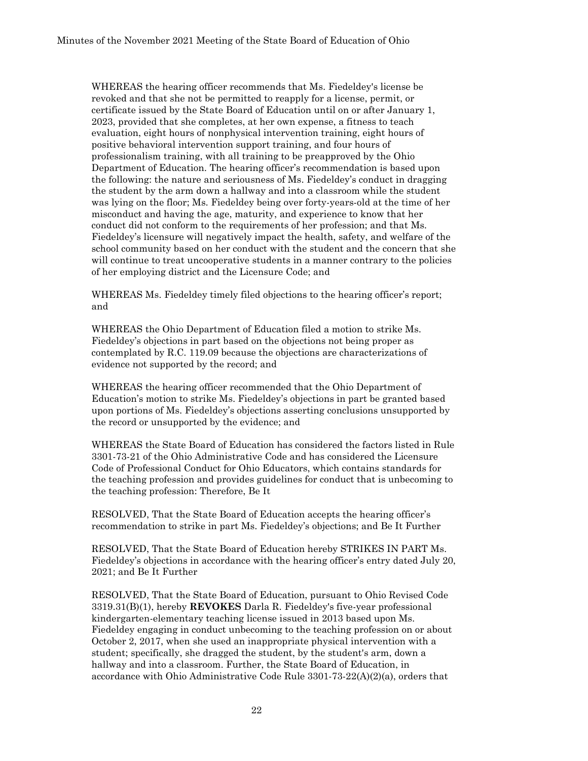WHEREAS the hearing officer recommends that Ms. Fiedeldey's license be revoked and that she not be permitted to reapply for a license, permit, or certificate issued by the State Board of Education until on or after January 1, 2023, provided that she completes, at her own expense, a fitness to teach evaluation, eight hours of nonphysical intervention training, eight hours of positive behavioral intervention support training, and four hours of professionalism training, with all training to be preapproved by the Ohio Department of Education. The hearing officer's recommendation is based upon the following: the nature and seriousness of Ms. Fiedeldey's conduct in dragging the student by the arm down a hallway and into a classroom while the student was lying on the floor; Ms. Fiedeldey being over forty-years-old at the time of her misconduct and having the age, maturity, and experience to know that her conduct did not conform to the requirements of her profession; and that Ms. Fiedeldey's licensure will negatively impact the health, safety, and welfare of the school community based on her conduct with the student and the concern that she will continue to treat uncooperative students in a manner contrary to the policies of her employing district and the Licensure Code; and

WHEREAS Ms. Fiedeldey timely filed objections to the hearing officer's report; and

WHEREAS the Ohio Department of Education filed a motion to strike Ms. Fiedeldey's objections in part based on the objections not being proper as contemplated by R.C. 119.09 because the objections are characterizations of evidence not supported by the record; and

WHEREAS the hearing officer recommended that the Ohio Department of Education's motion to strike Ms. Fiedeldey's objections in part be granted based upon portions of Ms. Fiedeldey's objections asserting conclusions unsupported by the record or unsupported by the evidence; and

WHEREAS the State Board of Education has considered the factors listed in Rule 3301-73-21 of the Ohio Administrative Code and has considered the Licensure Code of Professional Conduct for Ohio Educators, which contains standards for the teaching profession and provides guidelines for conduct that is unbecoming to the teaching profession: Therefore, Be It

RESOLVED, That the State Board of Education accepts the hearing officer's recommendation to strike in part Ms. Fiedeldey's objections; and Be It Further

RESOLVED, That the State Board of Education hereby STRIKES IN PART Ms. Fiedeldey's objections in accordance with the hearing officer's entry dated July 20, 2021; and Be It Further

RESOLVED, That the State Board of Education, pursuant to Ohio Revised Code 3319.31(B)(1), hereby **REVOKES** Darla R. Fiedeldey's five-year professional kindergarten-elementary teaching license issued in 2013 based upon Ms. Fiedeldey engaging in conduct unbecoming to the teaching profession on or about October 2, 2017, when she used an inappropriate physical intervention with a student; specifically, she dragged the student, by the student's arm, down a hallway and into a classroom. Further, the State Board of Education, in accordance with Ohio Administrative Code Rule 3301-73-22(A)(2)(a), orders that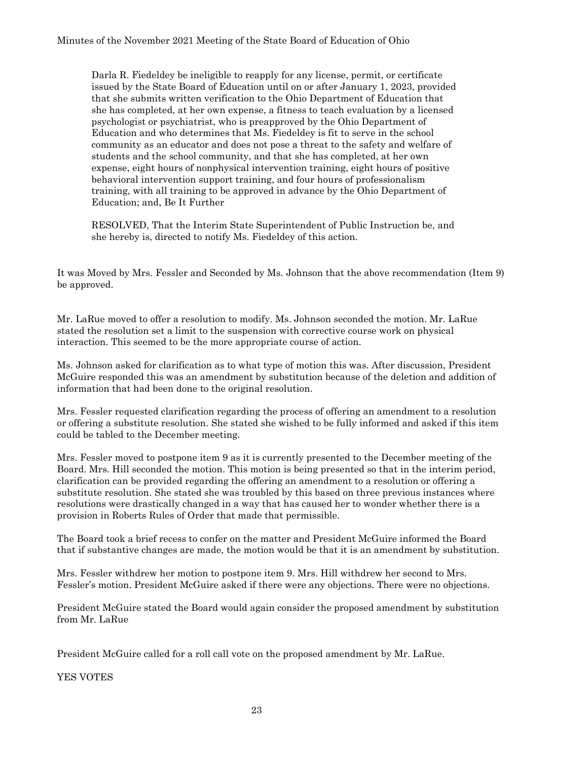Darla R. Fiedeldey be ineligible to reapply for any license, permit, or certificate issued by the State Board of Education until on or after January 1, 2023, provided that she submits written verification to the Ohio Department of Education that she has completed, at her own expense, a fitness to teach evaluation by a licensed psychologist or psychiatrist, who is preapproved by the Ohio Department of Education and who determines that Ms. Fiedeldey is fit to serve in the school community as an educator and does not pose a threat to the safety and welfare of students and the school community, and that she has completed, at her own expense, eight hours of nonphysical intervention training, eight hours of positive behavioral intervention support training, and four hours of professionalism training, with all training to be approved in advance by the Ohio Department of Education; and, Be It Further

RESOLVED, That the Interim State Superintendent of Public Instruction be, and she hereby is, directed to notify Ms. Fiedeldey of this action.

It was Moved by Mrs. Fessler and Seconded by Ms. Johnson that the above recommendation (Item 9) be approved.

Mr. LaRue moved to offer a resolution to modify. Ms. Johnson seconded the motion. Mr. LaRue stated the resolution set a limit to the suspension with corrective course work on physical interaction. This seemed to be the more appropriate course of action.

Ms. Johnson asked for clarification as to what type of motion this was. After discussion, President McGuire responded this was an amendment by substitution because of the deletion and addition of information that had been done to the original resolution.

Mrs. Fessler requested clarification regarding the process of offering an amendment to a resolution or offering a substitute resolution. She stated she wished to be fully informed and asked if this item could be tabled to the December meeting.

Mrs. Fessler moved to postpone item 9 as it is currently presented to the December meeting of the Board. Mrs. Hill seconded the motion. This motion is being presented so that in the interim period, clarification can be provided regarding the offering an amendment to a resolution or offering a substitute resolution. She stated she was troubled by this based on three previous instances where resolutions were drastically changed in a way that has caused her to wonder whether there is a provision in Roberts Rules of Order that made that permissible.

The Board took a brief recess to confer on the matter and President McGuire informed the Board that if substantive changes are made, the motion would be that it is an amendment by substitution.

Mrs. Fessler withdrew her motion to postpone item 9. Mrs. Hill withdrew her second to Mrs. Fessler's motion. President McGuire asked if there were any objections. There were no objections.

President McGuire stated the Board would again consider the proposed amendment by substitution from Mr. LaRue

President McGuire called for a roll call vote on the proposed amendment by Mr. LaRue.

YES VOTES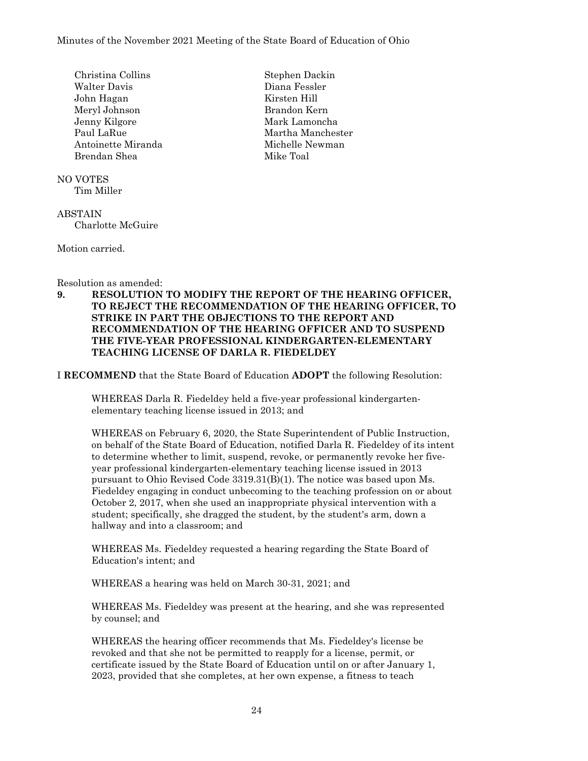Christina Collins Stephen Dackin Walter Davis Diana Fessler John Hagan Kirsten Hill Meryl Johnson Brandon Kern Jenny Kilgore Mark Lamoncha Paul LaRue Martha Manchester Antoinette Miranda Michelle Newman Brendan Shea Mike Toal

#### NO VOTES

Tim Miller

**ABSTAIN** Charlotte McGuire

Motion carried.

Resolution as amended:

**9. RESOLUTION TO MODIFY THE REPORT OF THE HEARING OFFICER, TO REJECT THE RECOMMENDATION OF THE HEARING OFFICER, TO STRIKE IN PART THE OBJECTIONS TO THE REPORT AND RECOMMENDATION OF THE HEARING OFFICER AND TO SUSPEND THE FIVE-YEAR PROFESSIONAL KINDERGARTEN-ELEMENTARY TEACHING LICENSE OF DARLA R. FIEDELDEY**

I **RECOMMEND** that the State Board of Education **ADOPT** the following Resolution:

WHEREAS Darla R. Fiedeldey held a five-year professional kindergartenelementary teaching license issued in 2013; and

WHEREAS on February 6, 2020, the State Superintendent of Public Instruction, on behalf of the State Board of Education, notified Darla R. Fiedeldey of its intent to determine whether to limit, suspend, revoke, or permanently revoke her fiveyear professional kindergarten-elementary teaching license issued in 2013 pursuant to Ohio Revised Code 3319.31(B)(1). The notice was based upon Ms. Fiedeldey engaging in conduct unbecoming to the teaching profession on or about October 2, 2017, when she used an inappropriate physical intervention with a student; specifically, she dragged the student, by the student's arm, down a hallway and into a classroom; and

WHEREAS Ms. Fiedeldey requested a hearing regarding the State Board of Education's intent; and

WHEREAS a hearing was held on March 30-31, 2021; and

WHEREAS Ms. Fiedeldey was present at the hearing, and she was represented by counsel; and

WHEREAS the hearing officer recommends that Ms. Fiedeldey's license be revoked and that she not be permitted to reapply for a license, permit, or certificate issued by the State Board of Education until on or after January 1, 2023, provided that she completes, at her own expense, a fitness to teach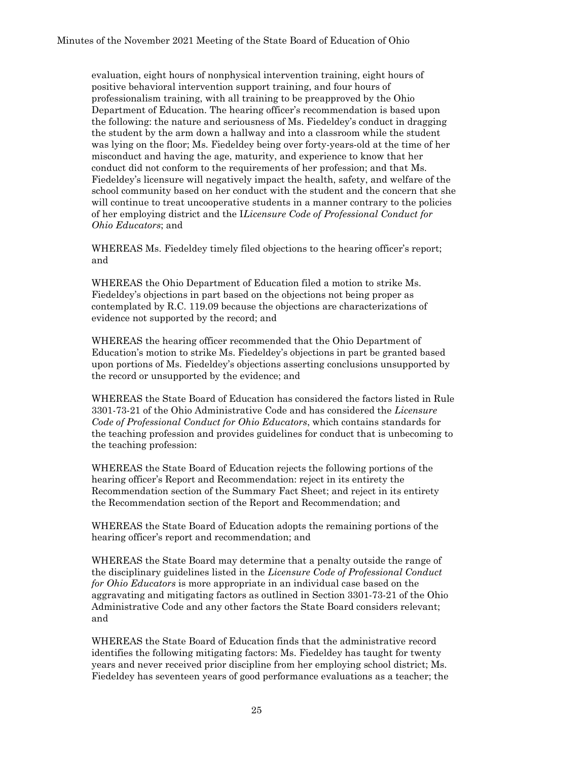evaluation, eight hours of nonphysical intervention training, eight hours of positive behavioral intervention support training, and four hours of professionalism training, with all training to be preapproved by the Ohio Department of Education. The hearing officer's recommendation is based upon the following: the nature and seriousness of Ms. Fiedeldey's conduct in dragging the student by the arm down a hallway and into a classroom while the student was lying on the floor; Ms. Fiedeldey being over forty-years-old at the time of her misconduct and having the age, maturity, and experience to know that her conduct did not conform to the requirements of her profession; and that Ms. Fiedeldey's licensure will negatively impact the health, safety, and welfare of the school community based on her conduct with the student and the concern that she will continue to treat uncooperative students in a manner contrary to the policies of her employing district and the I*Licensure Code of Professional Conduct for Ohio Educators*; and

WHEREAS Ms. Fiedeldey timely filed objections to the hearing officer's report; and

WHEREAS the Ohio Department of Education filed a motion to strike Ms. Fiedeldey's objections in part based on the objections not being proper as contemplated by R.C. 119.09 because the objections are characterizations of evidence not supported by the record; and

WHEREAS the hearing officer recommended that the Ohio Department of Education's motion to strike Ms. Fiedeldey's objections in part be granted based upon portions of Ms. Fiedeldey's objections asserting conclusions unsupported by the record or unsupported by the evidence; and

WHEREAS the State Board of Education has considered the factors listed in Rule 3301-73-21 of the Ohio Administrative Code and has considered the *Licensure Code of Professional Conduct for Ohio Educators*, which contains standards for the teaching profession and provides guidelines for conduct that is unbecoming to the teaching profession:

WHEREAS the State Board of Education rejects the following portions of the hearing officer's Report and Recommendation: reject in its entirety the Recommendation section of the Summary Fact Sheet; and reject in its entirety the Recommendation section of the Report and Recommendation; and

WHEREAS the State Board of Education adopts the remaining portions of the hearing officer's report and recommendation; and

WHEREAS the State Board may determine that a penalty outside the range of the disciplinary guidelines listed in the *Licensure Code of Professional Conduct for Ohio Educators* is more appropriate in an individual case based on the aggravating and mitigating factors as outlined in Section 3301-73-21 of the Ohio Administrative Code and any other factors the State Board considers relevant; and

WHEREAS the State Board of Education finds that the administrative record identifies the following mitigating factors: Ms. Fiedeldey has taught for twenty years and never received prior discipline from her employing school district; Ms. Fiedeldey has seventeen years of good performance evaluations as a teacher; the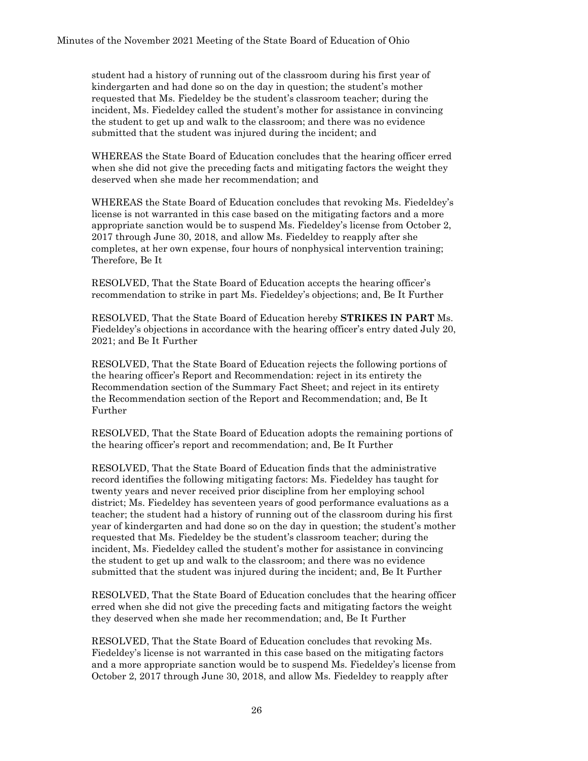student had a history of running out of the classroom during his first year of kindergarten and had done so on the day in question; the student's mother requested that Ms. Fiedeldey be the student's classroom teacher; during the incident, Ms. Fiedeldey called the student's mother for assistance in convincing the student to get up and walk to the classroom; and there was no evidence submitted that the student was injured during the incident; and

WHEREAS the State Board of Education concludes that the hearing officer erred when she did not give the preceding facts and mitigating factors the weight they deserved when she made her recommendation; and

WHEREAS the State Board of Education concludes that revoking Ms. Fiedeldey's license is not warranted in this case based on the mitigating factors and a more appropriate sanction would be to suspend Ms. Fiedeldey's license from October 2, 2017 through June 30, 2018, and allow Ms. Fiedeldey to reapply after she completes, at her own expense, four hours of nonphysical intervention training; Therefore, Be It

RESOLVED, That the State Board of Education accepts the hearing officer's recommendation to strike in part Ms. Fiedeldey's objections; and, Be It Further

RESOLVED, That the State Board of Education hereby **STRIKES IN PART** Ms. Fiedeldey's objections in accordance with the hearing officer's entry dated July 20, 2021; and Be It Further

RESOLVED, That the State Board of Education rejects the following portions of the hearing officer's Report and Recommendation: reject in its entirety the Recommendation section of the Summary Fact Sheet; and reject in its entirety the Recommendation section of the Report and Recommendation; and, Be It Further

RESOLVED, That the State Board of Education adopts the remaining portions of the hearing officer's report and recommendation; and, Be It Further

RESOLVED, That the State Board of Education finds that the administrative record identifies the following mitigating factors: Ms. Fiedeldey has taught for twenty years and never received prior discipline from her employing school district; Ms. Fiedeldey has seventeen years of good performance evaluations as a teacher; the student had a history of running out of the classroom during his first year of kindergarten and had done so on the day in question; the student's mother requested that Ms. Fiedeldey be the student's classroom teacher; during the incident, Ms. Fiedeldey called the student's mother for assistance in convincing the student to get up and walk to the classroom; and there was no evidence submitted that the student was injured during the incident; and, Be It Further

RESOLVED, That the State Board of Education concludes that the hearing officer erred when she did not give the preceding facts and mitigating factors the weight they deserved when she made her recommendation; and, Be It Further

RESOLVED, That the State Board of Education concludes that revoking Ms. Fiedeldey's license is not warranted in this case based on the mitigating factors and a more appropriate sanction would be to suspend Ms. Fiedeldey's license from October 2, 2017 through June 30, 2018, and allow Ms. Fiedeldey to reapply after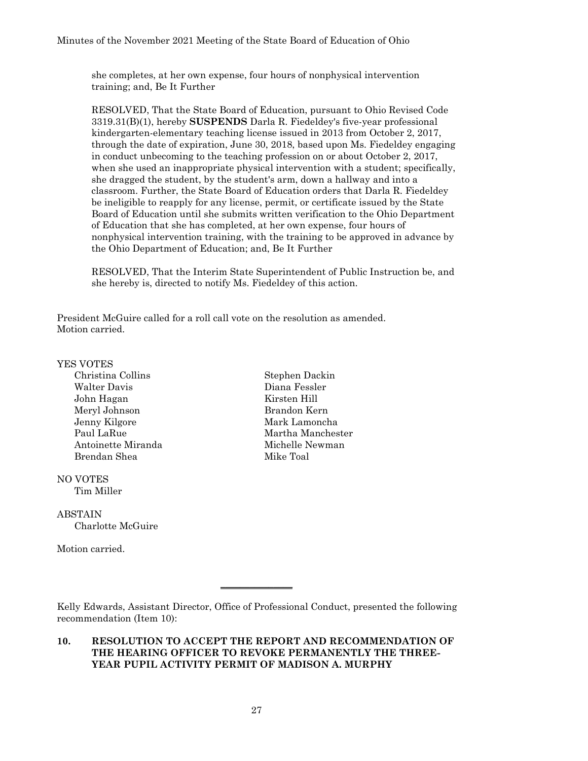she completes, at her own expense, four hours of nonphysical intervention training; and, Be It Further

RESOLVED, That the State Board of Education, pursuant to Ohio Revised Code 3319.31(B)(1), hereby **SUSPENDS** Darla R. Fiedeldey's five-year professional kindergarten-elementary teaching license issued in 2013 from October 2, 2017, through the date of expiration, June 30, 2018, based upon Ms. Fiedeldey engaging in conduct unbecoming to the teaching profession on or about October 2, 2017, when she used an inappropriate physical intervention with a student; specifically, she dragged the student, by the student's arm, down a hallway and into a classroom. Further, the State Board of Education orders that Darla R. Fiedeldey be ineligible to reapply for any license, permit, or certificate issued by the State Board of Education until she submits written verification to the Ohio Department of Education that she has completed, at her own expense, four hours of nonphysical intervention training, with the training to be approved in advance by the Ohio Department of Education; and, Be It Further

RESOLVED, That the Interim State Superintendent of Public Instruction be, and she hereby is, directed to notify Ms. Fiedeldey of this action.

President McGuire called for a roll call vote on the resolution as amended. Motion carried.

#### YES VOTES

Christina Collins Stephen Dackin Walter Davis Diana Fessler John Hagan Kirsten Hill Meryl Johnson Brandon Kern Jenny Kilgore Mark Lamoncha Antoinette Miranda Michelle Newman Brendan Shea Mike Toal

# NO VOTES

Tim Miller

#### ABSTAIN Charlotte McGuire

Motion carried.

Paul LaRue Martha Manchester

Kelly Edwards, Assistant Director, Office of Professional Conduct, presented the following recommendation (Item 10):

 $\overline{\phantom{a}}$  , where  $\overline{\phantom{a}}$ 

#### **10. RESOLUTION TO ACCEPT THE REPORT AND RECOMMENDATION OF THE HEARING OFFICER TO REVOKE PERMANENTLY THE THREE-YEAR PUPIL ACTIVITY PERMIT OF MADISON A. MURPHY**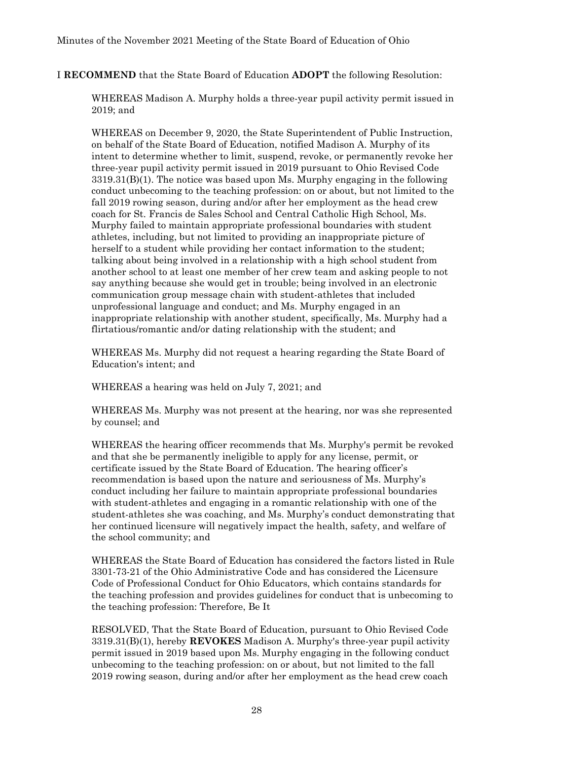I **RECOMMEND** that the State Board of Education **ADOPT** the following Resolution:

WHEREAS Madison A. Murphy holds a three-year pupil activity permit issued in 2019; and

WHEREAS on December 9, 2020, the State Superintendent of Public Instruction, on behalf of the State Board of Education, notified Madison A. Murphy of its intent to determine whether to limit, suspend, revoke, or permanently revoke her three-year pupil activity permit issued in 2019 pursuant to Ohio Revised Code  $3319.31(B)(1)$ . The notice was based upon Ms. Murphy engaging in the following conduct unbecoming to the teaching profession: on or about, but not limited to the fall 2019 rowing season, during and/or after her employment as the head crew coach for St. Francis de Sales School and Central Catholic High School, Ms. Murphy failed to maintain appropriate professional boundaries with student athletes, including, but not limited to providing an inappropriate picture of herself to a student while providing her contact information to the student; talking about being involved in a relationship with a high school student from another school to at least one member of her crew team and asking people to not say anything because she would get in trouble; being involved in an electronic communication group message chain with student-athletes that included unprofessional language and conduct; and Ms. Murphy engaged in an inappropriate relationship with another student, specifically, Ms. Murphy had a flirtatious/romantic and/or dating relationship with the student; and

WHEREAS Ms. Murphy did not request a hearing regarding the State Board of Education's intent; and

WHEREAS a hearing was held on July 7, 2021; and

WHEREAS Ms. Murphy was not present at the hearing, nor was she represented by counsel; and

WHEREAS the hearing officer recommends that Ms. Murphy's permit be revoked and that she be permanently ineligible to apply for any license, permit, or certificate issued by the State Board of Education. The hearing officer's recommendation is based upon the nature and seriousness of Ms. Murphy's conduct including her failure to maintain appropriate professional boundaries with student-athletes and engaging in a romantic relationship with one of the student-athletes she was coaching, and Ms. Murphy's conduct demonstrating that her continued licensure will negatively impact the health, safety, and welfare of the school community; and

WHEREAS the State Board of Education has considered the factors listed in Rule 3301-73-21 of the Ohio Administrative Code and has considered the Licensure Code of Professional Conduct for Ohio Educators, which contains standards for the teaching profession and provides guidelines for conduct that is unbecoming to the teaching profession: Therefore, Be It

RESOLVED, That the State Board of Education, pursuant to Ohio Revised Code 3319.31(B)(1), hereby **REVOKES** Madison A. Murphy's three-year pupil activity permit issued in 2019 based upon Ms. Murphy engaging in the following conduct unbecoming to the teaching profession: on or about, but not limited to the fall 2019 rowing season, during and/or after her employment as the head crew coach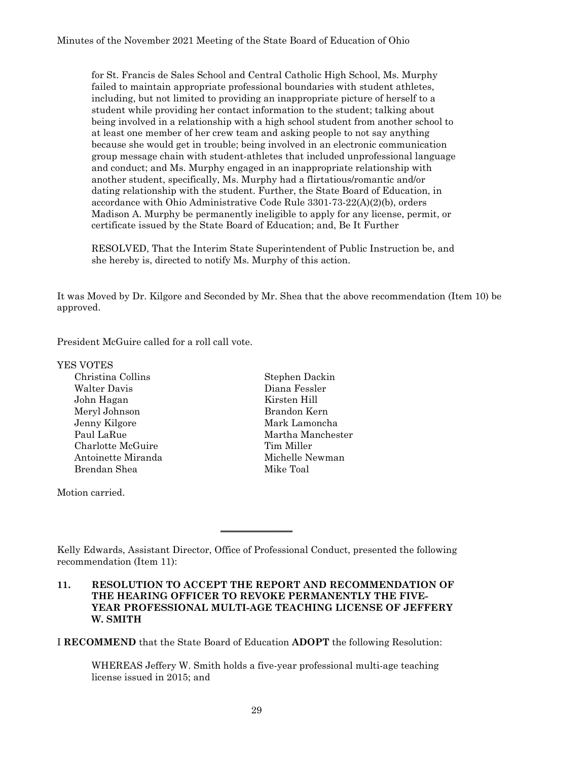for St. Francis de Sales School and Central Catholic High School, Ms. Murphy failed to maintain appropriate professional boundaries with student athletes, including, but not limited to providing an inappropriate picture of herself to a student while providing her contact information to the student; talking about being involved in a relationship with a high school student from another school to at least one member of her crew team and asking people to not say anything because she would get in trouble; being involved in an electronic communication group message chain with student-athletes that included unprofessional language and conduct; and Ms. Murphy engaged in an inappropriate relationship with another student, specifically, Ms. Murphy had a flirtatious/romantic and/or dating relationship with the student. Further, the State Board of Education, in accordance with Ohio Administrative Code Rule 3301-73-22(A)(2)(b), orders Madison A. Murphy be permanently ineligible to apply for any license, permit, or certificate issued by the State Board of Education; and, Be It Further

RESOLVED, That the Interim State Superintendent of Public Instruction be, and she hereby is, directed to notify Ms. Murphy of this action.

It was Moved by Dr. Kilgore and Seconded by Mr. Shea that the above recommendation (Item 10) be approved.

President McGuire called for a roll call vote.

#### YES VOTES

Christina Collins Stephen Dackin Walter Davis Diana Fessler John Hagan Kirsten Hill Meryl Johnson Brandon Kern Jenny Kilgore Mark Lamoncha Paul LaRue Martha Manchester Charlotte McGuire Tim Miller Antoinette Miranda Michelle Newman Brendan Shea Mike Toal

Motion carried.

Kelly Edwards, Assistant Director, Office of Professional Conduct, presented the following recommendation (Item 11):

 $\overline{\phantom{a}}$  , where  $\overline{\phantom{a}}$ 

I **RECOMMEND** that the State Board of Education **ADOPT** the following Resolution:

WHEREAS Jeffery W. Smith holds a five-year professional multi-age teaching license issued in 2015; and

**<sup>11.</sup> RESOLUTION TO ACCEPT THE REPORT AND RECOMMENDATION OF THE HEARING OFFICER TO REVOKE PERMANENTLY THE FIVE-YEAR PROFESSIONAL MULTI-AGE TEACHING LICENSE OF JEFFERY W. SMITH**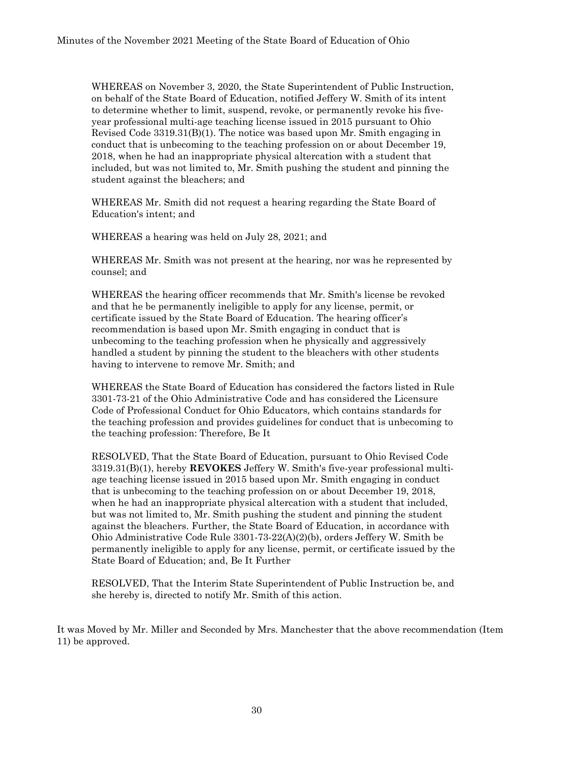WHEREAS on November 3, 2020, the State Superintendent of Public Instruction, on behalf of the State Board of Education, notified Jeffery W. Smith of its intent to determine whether to limit, suspend, revoke, or permanently revoke his fiveyear professional multi-age teaching license issued in 2015 pursuant to Ohio Revised Code 3319.31(B)(1). The notice was based upon Mr. Smith engaging in conduct that is unbecoming to the teaching profession on or about December 19, 2018, when he had an inappropriate physical altercation with a student that included, but was not limited to, Mr. Smith pushing the student and pinning the student against the bleachers; and

WHEREAS Mr. Smith did not request a hearing regarding the State Board of Education's intent; and

WHEREAS a hearing was held on July 28, 2021; and

WHEREAS Mr. Smith was not present at the hearing, nor was he represented by counsel; and

WHEREAS the hearing officer recommends that Mr. Smith's license be revoked and that he be permanently ineligible to apply for any license, permit, or certificate issued by the State Board of Education. The hearing officer's recommendation is based upon Mr. Smith engaging in conduct that is unbecoming to the teaching profession when he physically and aggressively handled a student by pinning the student to the bleachers with other students having to intervene to remove Mr. Smith; and

WHEREAS the State Board of Education has considered the factors listed in Rule 3301-73-21 of the Ohio Administrative Code and has considered the Licensure Code of Professional Conduct for Ohio Educators, which contains standards for the teaching profession and provides guidelines for conduct that is unbecoming to the teaching profession: Therefore, Be It

RESOLVED, That the State Board of Education, pursuant to Ohio Revised Code 3319.31(B)(1), hereby **REVOKES** Jeffery W. Smith's five-year professional multiage teaching license issued in 2015 based upon Mr. Smith engaging in conduct that is unbecoming to the teaching profession on or about December 19, 2018, when he had an inappropriate physical altercation with a student that included, but was not limited to, Mr. Smith pushing the student and pinning the student against the bleachers. Further, the State Board of Education, in accordance with Ohio Administrative Code Rule 3301-73-22(A)(2)(b), orders Jeffery W. Smith be permanently ineligible to apply for any license, permit, or certificate issued by the State Board of Education; and, Be It Further

RESOLVED, That the Interim State Superintendent of Public Instruction be, and she hereby is, directed to notify Mr. Smith of this action.

It was Moved by Mr. Miller and Seconded by Mrs. Manchester that the above recommendation (Item 11) be approved.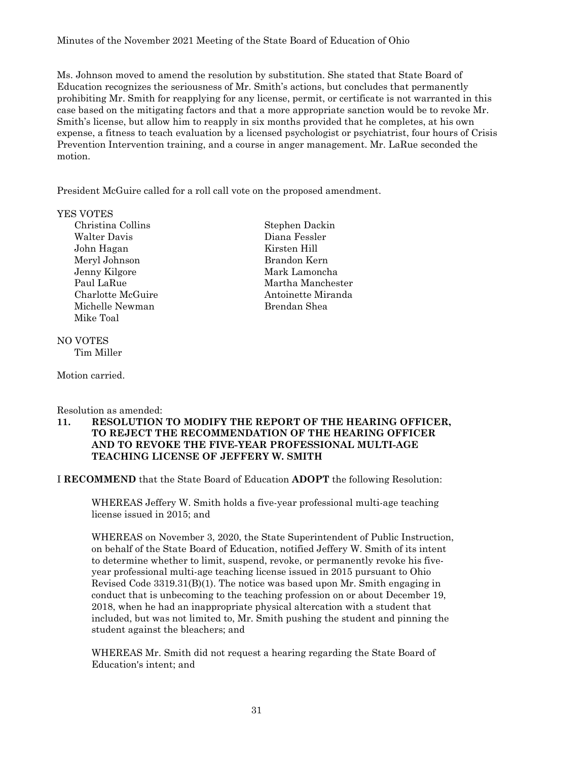Ms. Johnson moved to amend the resolution by substitution. She stated that State Board of Education recognizes the seriousness of Mr. Smith's actions, but concludes that permanently prohibiting Mr. Smith for reapplying for any license, permit, or certificate is not warranted in this case based on the mitigating factors and that a more appropriate sanction would be to revoke Mr. Smith's license, but allow him to reapply in six months provided that he completes, at his own expense, a fitness to teach evaluation by a licensed psychologist or psychiatrist, four hours of Crisis Prevention Intervention training, and a course in anger management. Mr. LaRue seconded the motion.

President McGuire called for a roll call vote on the proposed amendment.

#### YES VOTES

Christina Collins Stephen Dackin Walter Davis Diana Fessler John Hagan Kirsten Hill Meryl Johnson Brandon Kern Jenny Kilgore Mark Lamoncha Michelle Newman Brendan Shea Mike Toal

Paul LaRue Martha Manchester Charlotte McGuire **Antoinette Miranda** 

#### NO VOTES Tim Miller

Motion carried.

#### Resolution as amended:

#### **11. RESOLUTION TO MODIFY THE REPORT OF THE HEARING OFFICER, TO REJECT THE RECOMMENDATION OF THE HEARING OFFICER AND TO REVOKE THE FIVE-YEAR PROFESSIONAL MULTI-AGE TEACHING LICENSE OF JEFFERY W. SMITH**

#### I **RECOMMEND** that the State Board of Education **ADOPT** the following Resolution:

WHEREAS Jeffery W. Smith holds a five-year professional multi-age teaching license issued in 2015; and

WHEREAS on November 3, 2020, the State Superintendent of Public Instruction, on behalf of the State Board of Education, notified Jeffery W. Smith of its intent to determine whether to limit, suspend, revoke, or permanently revoke his fiveyear professional multi-age teaching license issued in 2015 pursuant to Ohio Revised Code 3319.31(B)(1). The notice was based upon Mr. Smith engaging in conduct that is unbecoming to the teaching profession on or about December 19, 2018, when he had an inappropriate physical altercation with a student that included, but was not limited to, Mr. Smith pushing the student and pinning the student against the bleachers; and

WHEREAS Mr. Smith did not request a hearing regarding the State Board of Education's intent; and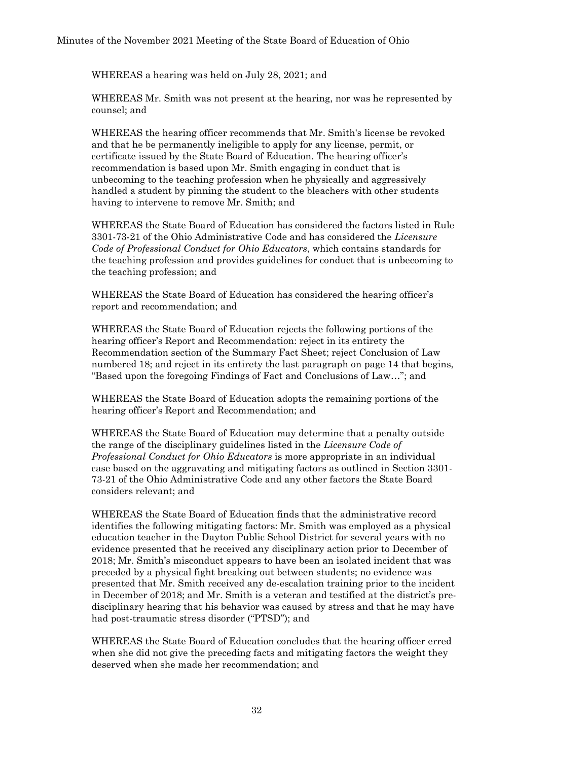WHEREAS a hearing was held on July 28, 2021; and

WHEREAS Mr. Smith was not present at the hearing, nor was he represented by counsel; and

WHEREAS the hearing officer recommends that Mr. Smith's license be revoked and that he be permanently ineligible to apply for any license, permit, or certificate issued by the State Board of Education. The hearing officer's recommendation is based upon Mr. Smith engaging in conduct that is unbecoming to the teaching profession when he physically and aggressively handled a student by pinning the student to the bleachers with other students having to intervene to remove Mr. Smith; and

WHEREAS the State Board of Education has considered the factors listed in Rule 3301-73-21 of the Ohio Administrative Code and has considered the *Licensure Code of Professional Conduct for Ohio Educators*, which contains standards for the teaching profession and provides guidelines for conduct that is unbecoming to the teaching profession; and

WHEREAS the State Board of Education has considered the hearing officer's report and recommendation; and

WHEREAS the State Board of Education rejects the following portions of the hearing officer's Report and Recommendation: reject in its entirety the Recommendation section of the Summary Fact Sheet; reject Conclusion of Law numbered 18; and reject in its entirety the last paragraph on page 14 that begins, "Based upon the foregoing Findings of Fact and Conclusions of Law…"; and

WHEREAS the State Board of Education adopts the remaining portions of the hearing officer's Report and Recommendation; and

WHEREAS the State Board of Education may determine that a penalty outside the range of the disciplinary guidelines listed in the *Licensure Code of Professional Conduct for Ohio Educators* is more appropriate in an individual case based on the aggravating and mitigating factors as outlined in Section 3301- 73-21 of the Ohio Administrative Code and any other factors the State Board considers relevant; and

WHEREAS the State Board of Education finds that the administrative record identifies the following mitigating factors: Mr. Smith was employed as a physical education teacher in the Dayton Public School District for several years with no evidence presented that he received any disciplinary action prior to December of 2018; Mr. Smith's misconduct appears to have been an isolated incident that was preceded by a physical fight breaking out between students; no evidence was presented that Mr. Smith received any de-escalation training prior to the incident in December of 2018; and Mr. Smith is a veteran and testified at the district's predisciplinary hearing that his behavior was caused by stress and that he may have had post-traumatic stress disorder ("PTSD"); and

WHEREAS the State Board of Education concludes that the hearing officer erred when she did not give the preceding facts and mitigating factors the weight they deserved when she made her recommendation; and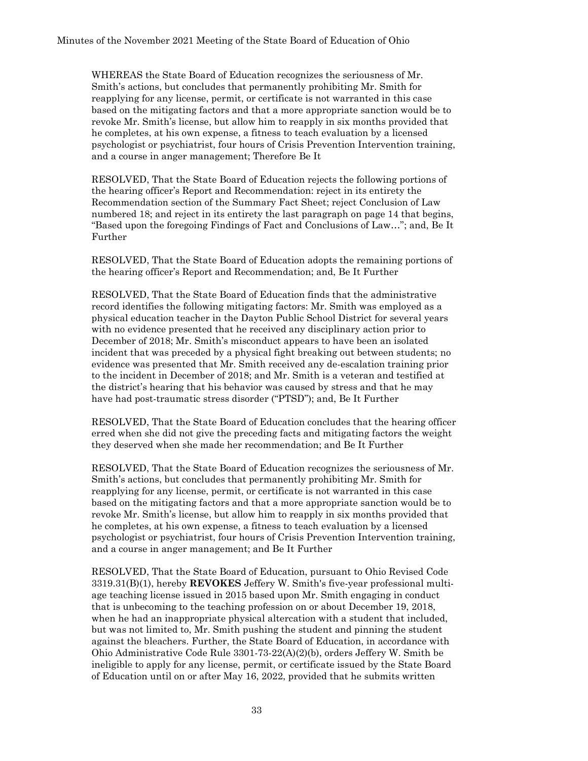WHEREAS the State Board of Education recognizes the seriousness of Mr. Smith's actions, but concludes that permanently prohibiting Mr. Smith for reapplying for any license, permit, or certificate is not warranted in this case based on the mitigating factors and that a more appropriate sanction would be to revoke Mr. Smith's license, but allow him to reapply in six months provided that he completes, at his own expense, a fitness to teach evaluation by a licensed psychologist or psychiatrist, four hours of Crisis Prevention Intervention training, and a course in anger management; Therefore Be It

RESOLVED, That the State Board of Education rejects the following portions of the hearing officer's Report and Recommendation: reject in its entirety the Recommendation section of the Summary Fact Sheet; reject Conclusion of Law numbered 18; and reject in its entirety the last paragraph on page 14 that begins, "Based upon the foregoing Findings of Fact and Conclusions of Law…"; and, Be It Further

RESOLVED, That the State Board of Education adopts the remaining portions of the hearing officer's Report and Recommendation; and, Be It Further

RESOLVED, That the State Board of Education finds that the administrative record identifies the following mitigating factors: Mr. Smith was employed as a physical education teacher in the Dayton Public School District for several years with no evidence presented that he received any disciplinary action prior to December of 2018; Mr. Smith's misconduct appears to have been an isolated incident that was preceded by a physical fight breaking out between students; no evidence was presented that Mr. Smith received any de-escalation training prior to the incident in December of 2018; and Mr. Smith is a veteran and testified at the district's hearing that his behavior was caused by stress and that he may have had post-traumatic stress disorder ("PTSD"); and, Be It Further

RESOLVED, That the State Board of Education concludes that the hearing officer erred when she did not give the preceding facts and mitigating factors the weight they deserved when she made her recommendation; and Be It Further

RESOLVED, That the State Board of Education recognizes the seriousness of Mr. Smith's actions, but concludes that permanently prohibiting Mr. Smith for reapplying for any license, permit, or certificate is not warranted in this case based on the mitigating factors and that a more appropriate sanction would be to revoke Mr. Smith's license, but allow him to reapply in six months provided that he completes, at his own expense, a fitness to teach evaluation by a licensed psychologist or psychiatrist, four hours of Crisis Prevention Intervention training, and a course in anger management; and Be It Further

RESOLVED, That the State Board of Education, pursuant to Ohio Revised Code 3319.31(B)(1), hereby **REVOKES** Jeffery W. Smith's five-year professional multiage teaching license issued in 2015 based upon Mr. Smith engaging in conduct that is unbecoming to the teaching profession on or about December 19, 2018, when he had an inappropriate physical altercation with a student that included, but was not limited to, Mr. Smith pushing the student and pinning the student against the bleachers. Further, the State Board of Education, in accordance with Ohio Administrative Code Rule 3301-73-22(A)(2)(b), orders Jeffery W. Smith be ineligible to apply for any license, permit, or certificate issued by the State Board of Education until on or after May 16, 2022, provided that he submits written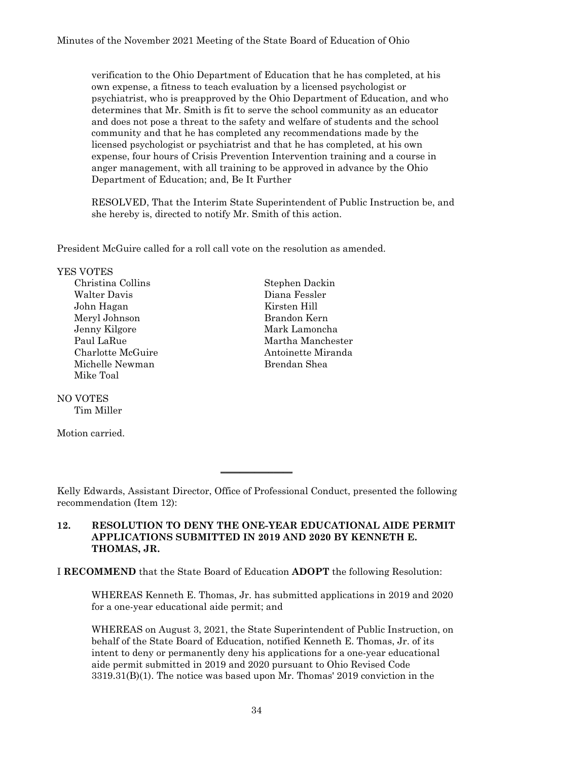verification to the Ohio Department of Education that he has completed, at his own expense, a fitness to teach evaluation by a licensed psychologist or psychiatrist, who is preapproved by the Ohio Department of Education, and who determines that Mr. Smith is fit to serve the school community as an educator and does not pose a threat to the safety and welfare of students and the school community and that he has completed any recommendations made by the licensed psychologist or psychiatrist and that he has completed, at his own expense, four hours of Crisis Prevention Intervention training and a course in anger management, with all training to be approved in advance by the Ohio Department of Education; and, Be It Further

RESOLVED, That the Interim State Superintendent of Public Instruction be, and she hereby is, directed to notify Mr. Smith of this action.

President McGuire called for a roll call vote on the resolution as amended.

#### YES VOTES

Christina Collins Stephen Dackin Walter Davis Diana Fessler John Hagan Kirsten Hill Meryl Johnson Brandon Kern Jenny Kilgore Mark Lamoncha Michelle Newman Brendan Shea Mike Toal

#### NO VOTES

Tim Miller

Motion carried.

Paul LaRue Martha Manchester Charlotte McGuire **Antoinette Miranda** 

Kelly Edwards, Assistant Director, Office of Professional Conduct, presented the following recommendation (Item 12):

 $\overline{\phantom{a}}$  , where  $\overline{\phantom{a}}$ 

#### **12. RESOLUTION TO DENY THE ONE-YEAR EDUCATIONAL AIDE PERMIT APPLICATIONS SUBMITTED IN 2019 AND 2020 BY KENNETH E. THOMAS, JR.**

I **RECOMMEND** that the State Board of Education **ADOPT** the following Resolution:

WHEREAS Kenneth E. Thomas, Jr. has submitted applications in 2019 and 2020 for a one-year educational aide permit; and

WHEREAS on August 3, 2021, the State Superintendent of Public Instruction, on behalf of the State Board of Education, notified Kenneth E. Thomas, Jr. of its intent to deny or permanently deny his applications for a one-year educational aide permit submitted in 2019 and 2020 pursuant to Ohio Revised Code 3319.31(B)(1). The notice was based upon Mr. Thomas' 2019 conviction in the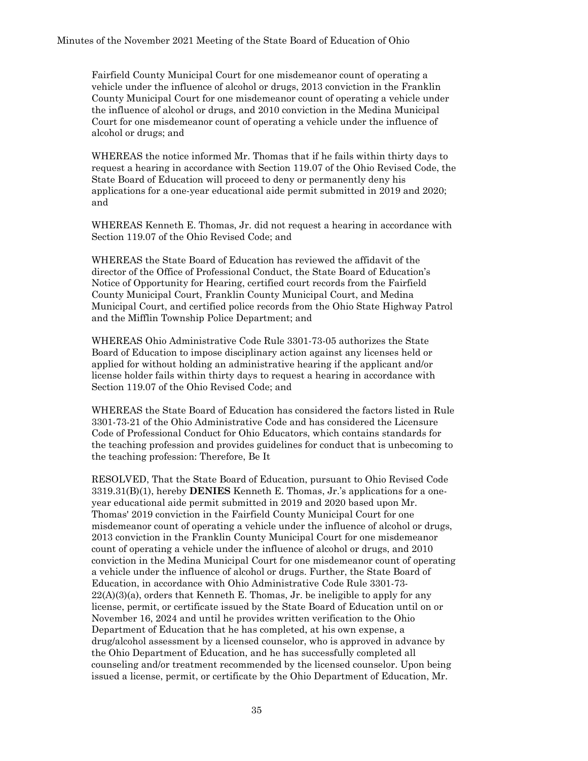Fairfield County Municipal Court for one misdemeanor count of operating a vehicle under the influence of alcohol or drugs, 2013 conviction in the Franklin County Municipal Court for one misdemeanor count of operating a vehicle under the influence of alcohol or drugs, and 2010 conviction in the Medina Municipal Court for one misdemeanor count of operating a vehicle under the influence of alcohol or drugs; and

WHEREAS the notice informed Mr. Thomas that if he fails within thirty days to request a hearing in accordance with Section 119.07 of the Ohio Revised Code, the State Board of Education will proceed to deny or permanently deny his applications for a one-year educational aide permit submitted in 2019 and 2020; and

WHEREAS Kenneth E. Thomas, Jr. did not request a hearing in accordance with Section 119.07 of the Ohio Revised Code; and

WHEREAS the State Board of Education has reviewed the affidavit of the director of the Office of Professional Conduct, the State Board of Education's Notice of Opportunity for Hearing, certified court records from the Fairfield County Municipal Court, Franklin County Municipal Court, and Medina Municipal Court, and certified police records from the Ohio State Highway Patrol and the Mifflin Township Police Department; and

WHEREAS Ohio Administrative Code Rule 3301-73-05 authorizes the State Board of Education to impose disciplinary action against any licenses held or applied for without holding an administrative hearing if the applicant and/or license holder fails within thirty days to request a hearing in accordance with Section 119.07 of the Ohio Revised Code; and

WHEREAS the State Board of Education has considered the factors listed in Rule 3301-73-21 of the Ohio Administrative Code and has considered the Licensure Code of Professional Conduct for Ohio Educators, which contains standards for the teaching profession and provides guidelines for conduct that is unbecoming to the teaching profession: Therefore, Be It

RESOLVED, That the State Board of Education, pursuant to Ohio Revised Code 3319.31(B)(1), hereby **DENIES** Kenneth E. Thomas, Jr.'s applications for a oneyear educational aide permit submitted in 2019 and 2020 based upon Mr. Thomas' 2019 conviction in the Fairfield County Municipal Court for one misdemeanor count of operating a vehicle under the influence of alcohol or drugs, 2013 conviction in the Franklin County Municipal Court for one misdemeanor count of operating a vehicle under the influence of alcohol or drugs, and 2010 conviction in the Medina Municipal Court for one misdemeanor count of operating a vehicle under the influence of alcohol or drugs. Further, the State Board of Education, in accordance with Ohio Administrative Code Rule 3301-73-  $22(A)(3)(a)$ , orders that Kenneth E. Thomas, Jr. be ineligible to apply for any license, permit, or certificate issued by the State Board of Education until on or November 16, 2024 and until he provides written verification to the Ohio Department of Education that he has completed, at his own expense, a drug/alcohol assessment by a licensed counselor, who is approved in advance by the Ohio Department of Education, and he has successfully completed all counseling and/or treatment recommended by the licensed counselor. Upon being issued a license, permit, or certificate by the Ohio Department of Education, Mr.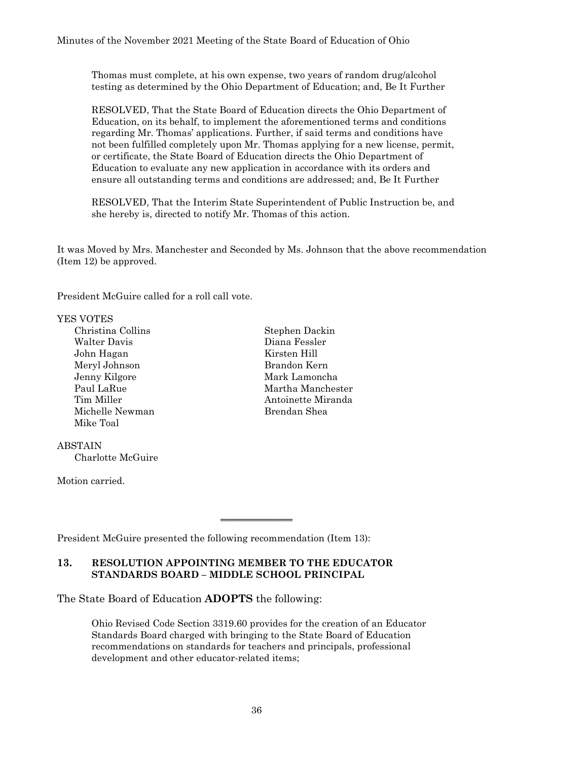Thomas must complete, at his own expense, two years of random drug/alcohol testing as determined by the Ohio Department of Education; and, Be It Further

RESOLVED, That the State Board of Education directs the Ohio Department of Education, on its behalf, to implement the aforementioned terms and conditions regarding Mr. Thomas' applications. Further, if said terms and conditions have not been fulfilled completely upon Mr. Thomas applying for a new license, permit, or certificate, the State Board of Education directs the Ohio Department of Education to evaluate any new application in accordance with its orders and ensure all outstanding terms and conditions are addressed; and, Be It Further

RESOLVED, That the Interim State Superintendent of Public Instruction be, and she hereby is, directed to notify Mr. Thomas of this action.

It was Moved by Mrs. Manchester and Seconded by Ms. Johnson that the above recommendation (Item 12) be approved.

President McGuire called for a roll call vote.

#### YES VOTES

| Christina Collins |
|-------------------|
| Walter Davis      |
| John Hagan        |
| Meryl Johnson     |
| Jenny Kilgore     |
| Paul LaRue        |
| Tim Miller        |
| Michelle Newman   |
| Mike Toal         |

ABSTAIN Charlotte McGuire

Motion carried.

Stephen Dackin Diana Fessler Kirsten Hill Brandon Kern Mark Lamoncha Martha Manchester Antoinette Miranda Brendan Shea

President McGuire presented the following recommendation (Item 13):

#### **13. RESOLUTION APPOINTING MEMBER TO THE EDUCATOR STANDARDS BOARD – MIDDLE SCHOOL PRINCIPAL**

The State Board of Education **ADOPTS** the following:

Ohio Revised Code Section 3319.60 provides for the creation of an Educator Standards Board charged with bringing to the State Board of Education recommendations on standards for teachers and principals, professional development and other educator-related items;

 $\overline{\phantom{a}}$  , where  $\overline{\phantom{a}}$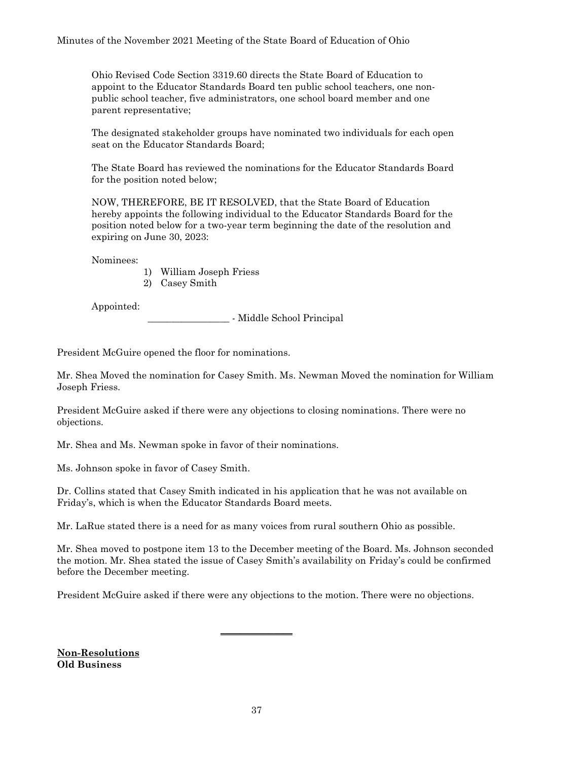Ohio Revised Code Section 3319.60 directs the State Board of Education to appoint to the Educator Standards Board ten public school teachers, one nonpublic school teacher, five administrators, one school board member and one parent representative;

The designated stakeholder groups have nominated two individuals for each open seat on the Educator Standards Board;

The State Board has reviewed the nominations for the Educator Standards Board for the position noted below;

NOW, THEREFORE, BE IT RESOLVED, that the State Board of Education hereby appoints the following individual to the Educator Standards Board for the position noted below for a two-year term beginning the date of the resolution and expiring on June 30, 2023:

Nominees:

- 1) William Joseph Friess
- 2) Casey Smith

Appointed:

\_\_\_\_\_\_\_\_\_\_\_\_\_\_\_\_\_ - Middle School Principal

President McGuire opened the floor for nominations.

Mr. Shea Moved the nomination for Casey Smith. Ms. Newman Moved the nomination for William Joseph Friess.

President McGuire asked if there were any objections to closing nominations. There were no objections.

Mr. Shea and Ms. Newman spoke in favor of their nominations.

Ms. Johnson spoke in favor of Casey Smith.

Dr. Collins stated that Casey Smith indicated in his application that he was not available on Friday's, which is when the Educator Standards Board meets.

Mr. LaRue stated there is a need for as many voices from rural southern Ohio as possible.

Mr. Shea moved to postpone item 13 to the December meeting of the Board. Ms. Johnson seconded the motion. Mr. Shea stated the issue of Casey Smith's availability on Friday's could be confirmed before the December meeting.

President McGuire asked if there were any objections to the motion. There were no objections.

 $\overline{\phantom{a}}$  , where  $\overline{\phantom{a}}$ 

**Non-Resolutions Old Business**